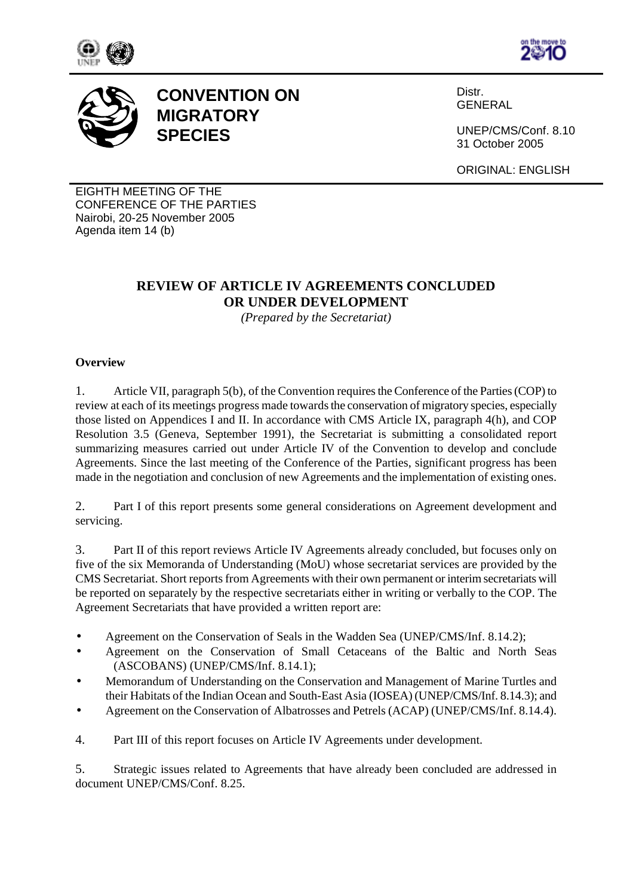





**CONVENTION ON MIGRATORY SPECIES** 

Distr. GENERAL

UNEP/CMS/Conf. 8.10 31 October 2005

ORIGINAL: ENGLISH

EIGHTH MEETING OF THE CONFERENCE OF THE PARTIES Nairobi, 20-25 November 2005 Agenda item 14 (b)

# **REVIEW OF ARTICLE IV AGREEMENTS CONCLUDED OR UNDER DEVELOPMENT**

*(Prepared by the Secretariat)*

### **Overview**

1. Article VII, paragraph 5(b), of the Convention requires the Conference of the Parties (COP) to review at each of its meetings progress made towards the conservation of migratory species, especially those listed on Appendices I and II. In accordance with CMS Article IX, paragraph 4(h), and COP Resolution 3.5 (Geneva, September 1991), the Secretariat is submitting a consolidated report summarizing measures carried out under Article IV of the Convention to develop and conclude Agreements. Since the last meeting of the Conference of the Parties, significant progress has been made in the negotiation and conclusion of new Agreements and the implementation of existing ones.

2. Part I of this report presents some general considerations on Agreement development and servicing.

3. Part II of this report reviews Article IV Agreements already concluded, but focuses only on five of the six Memoranda of Understanding (MoU) whose secretariat services are provided by the CMS Secretariat. Short reports from Agreements with their own permanent or interim secretariats will be reported on separately by the respective secretariats either in writing or verbally to the COP. The Agreement Secretariats that have provided a written report are:

- Agreement on the Conservation of Seals in the Wadden Sea (UNEP/CMS/Inf. 8.14.2);
- Agreement on the Conservation of Small Cetaceans of the Baltic and North Seas (ASCOBANS) (UNEP/CMS/Inf. 8.14.1);
- Memorandum of Understanding on the Conservation and Management of Marine Turtles and their Habitats of the Indian Ocean and South-East Asia (IOSEA) (UNEP/CMS/Inf. 8.14.3); and
- Agreement on the Conservation of Albatrosses and Petrels (ACAP) (UNEP/CMS/Inf. 8.14.4).
- 4. Part III of this report focuses on Article IV Agreements under development.

5. Strategic issues related to Agreements that have already been concluded are addressed in document UNEP/CMS/Conf. 8.25.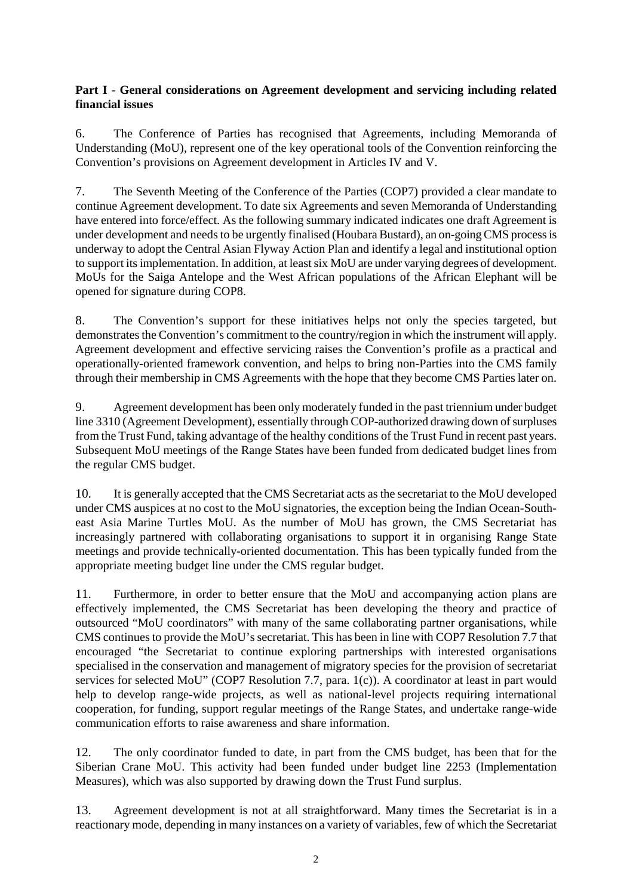### **Part I - General considerations on Agreement development and servicing including related financial issues**

6. The Conference of Parties has recognised that Agreements, including Memoranda of Understanding (MoU), represent one of the key operational tools of the Convention reinforcing the Convention's provisions on Agreement development in Articles IV and V.

7. The Seventh Meeting of the Conference of the Parties (COP7) provided a clear mandate to continue Agreement development. To date six Agreements and seven Memoranda of Understanding have entered into force/effect. As the following summary indicated indicates one draft Agreement is under development and needs to be urgently finalised (Houbara Bustard), an on-going CMS process is underway to adopt the Central Asian Flyway Action Plan and identify a legal and institutional option to support its implementation. In addition, at least six MoU are under varying degrees of development. MoUs for the Saiga Antelope and the West African populations of the African Elephant will be opened for signature during COP8.

8. The Convention's support for these initiatives helps not only the species targeted, but demonstrates the Convention's commitment to the country/region in which the instrument will apply. Agreement development and effective servicing raises the Convention's profile as a practical and operationally-oriented framework convention, and helps to bring non-Parties into the CMS family through their membership in CMS Agreements with the hope that they become CMS Parties later on.

9. Agreement development has been only moderately funded in the past triennium under budget line 3310 (Agreement Development), essentially through COP-authorized drawing down of surpluses from the Trust Fund, taking advantage of the healthy conditions of the Trust Fund in recent past years. Subsequent MoU meetings of the Range States have been funded from dedicated budget lines from the regular CMS budget.

10. It is generally accepted that the CMS Secretariat acts as the secretariat to the MoU developed under CMS auspices at no cost to the MoU signatories, the exception being the Indian Ocean-Southeast Asia Marine Turtles MoU. As the number of MoU has grown, the CMS Secretariat has increasingly partnered with collaborating organisations to support it in organising Range State meetings and provide technically-oriented documentation. This has been typically funded from the appropriate meeting budget line under the CMS regular budget.

11. Furthermore, in order to better ensure that the MoU and accompanying action plans are effectively implemented, the CMS Secretariat has been developing the theory and practice of outsourced "MoU coordinators" with many of the same collaborating partner organisations, while CMS continues to provide the MoU's secretariat. This has been in line with COP7 Resolution 7.7 that encouraged "the Secretariat to continue exploring partnerships with interested organisations specialised in the conservation and management of migratory species for the provision of secretariat services for selected MoU" (COP7 Resolution 7.7, para. 1(c)). A coordinator at least in part would help to develop range-wide projects, as well as national-level projects requiring international cooperation, for funding, support regular meetings of the Range States, and undertake range-wide communication efforts to raise awareness and share information.

12. The only coordinator funded to date, in part from the CMS budget, has been that for the Siberian Crane MoU. This activity had been funded under budget line 2253 (Implementation Measures), which was also supported by drawing down the Trust Fund surplus.

13. Agreement development is not at all straightforward. Many times the Secretariat is in a reactionary mode, depending in many instances on a variety of variables, few of which the Secretariat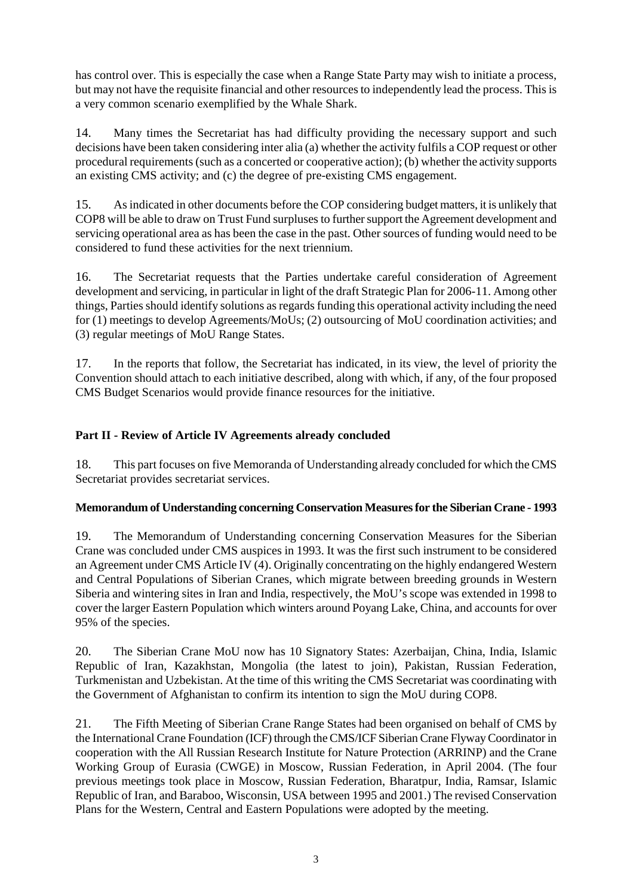has control over. This is especially the case when a Range State Party may wish to initiate a process, but may not have the requisite financial and other resources to independently lead the process. This is a very common scenario exemplified by the Whale Shark.

14. Many times the Secretariat has had difficulty providing the necessary support and such decisions have been taken considering inter alia (a) whether the activity fulfils a COP request or other procedural requirements (such as a concerted or cooperative action); (b) whether the activity supports an existing CMS activity; and (c) the degree of pre-existing CMS engagement.

15. As indicated in other documents before the COP considering budget matters, it is unlikely that COP8 will be able to draw on Trust Fund surpluses to further support the Agreement development and servicing operational area as has been the case in the past. Other sources of funding would need to be considered to fund these activities for the next triennium.

16. The Secretariat requests that the Parties undertake careful consideration of Agreement development and servicing, in particular in light of the draft Strategic Plan for 2006-11. Among other things, Parties should identify solutions as regards funding this operational activity including the need for (1) meetings to develop Agreements/MoUs; (2) outsourcing of MoU coordination activities; and (3) regular meetings of MoU Range States.

17. In the reports that follow, the Secretariat has indicated, in its view, the level of priority the Convention should attach to each initiative described, along with which, if any, of the four proposed CMS Budget Scenarios would provide finance resources for the initiative.

## **Part II - Review of Article IV Agreements already concluded**

18. This part focuses on five Memoranda of Understanding already concluded for which the CMS Secretariat provides secretariat services.

## **Memorandum of Understanding concerning Conservation Measures for the Siberian Crane - 1993**

19. The Memorandum of Understanding concerning Conservation Measures for the Siberian Crane was concluded under CMS auspices in 1993. It was the first such instrument to be considered an Agreement under CMS Article IV (4). Originally concentrating on the highly endangered Western and Central Populations of Siberian Cranes, which migrate between breeding grounds in Western Siberia and wintering sites in Iran and India, respectively, the MoU's scope was extended in 1998 to cover the larger Eastern Population which winters around Poyang Lake, China, and accounts for over 95% of the species.

20. The Siberian Crane MoU now has 10 Signatory States: Azerbaijan, China, India, Islamic Republic of Iran, Kazakhstan, Mongolia (the latest to join), Pakistan, Russian Federation, Turkmenistan and Uzbekistan. At the time of this writing the CMS Secretariat was coordinating with the Government of Afghanistan to confirm its intention to sign the MoU during COP8.

21. The Fifth Meeting of Siberian Crane Range States had been organised on behalf of CMS by the International Crane Foundation (ICF) through the CMS/ICF Siberian Crane Flyway Coordinator in cooperation with the All Russian Research Institute for Nature Protection (ARRINP) and the Crane Working Group of Eurasia (CWGE) in Moscow, Russian Federation, in April 2004. (The four previous meetings took place in Moscow, Russian Federation, Bharatpur, India, Ramsar, Islamic Republic of Iran, and Baraboo, Wisconsin, USA between 1995 and 2001.) The revised Conservation Plans for the Western, Central and Eastern Populations were adopted by the meeting.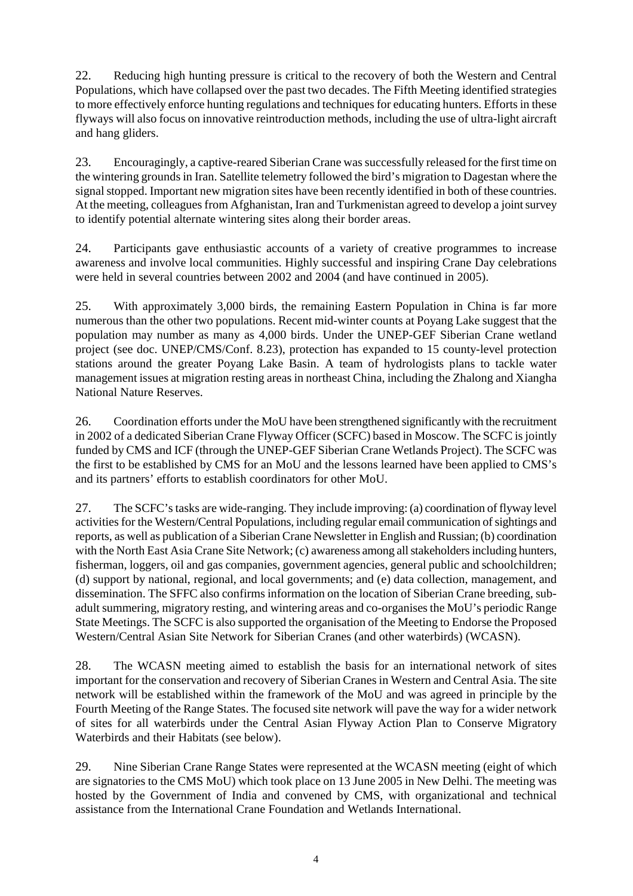22. Reducing high hunting pressure is critical to the recovery of both the Western and Central Populations, which have collapsed over the past two decades. The Fifth Meeting identified strategies to more effectively enforce hunting regulations and techniques for educating hunters. Efforts in these flyways will also focus on innovative reintroduction methods, including the use of ultra-light aircraft and hang gliders.

23. Encouragingly, a captive-reared Siberian Crane was successfully released for the first time on the wintering grounds in Iran. Satellite telemetry followed the bird's migration to Dagestan where the signal stopped. Important new migration sites have been recently identified in both of these countries. At the meeting, colleagues from Afghanistan, Iran and Turkmenistan agreed to develop a joint survey to identify potential alternate wintering sites along their border areas.

24. Participants gave enthusiastic accounts of a variety of creative programmes to increase awareness and involve local communities. Highly successful and inspiring Crane Day celebrations were held in several countries between 2002 and 2004 (and have continued in 2005).

25. With approximately 3,000 birds, the remaining Eastern Population in China is far more numerous than the other two populations. Recent mid-winter counts at Poyang Lake suggest that the population may number as many as 4,000 birds. Under the UNEP-GEF Siberian Crane wetland project (see doc. UNEP/CMS/Conf. 8.23), protection has expanded to 15 county-level protection stations around the greater Poyang Lake Basin. A team of hydrologists plans to tackle water management issues at migration resting areas in northeast China, including the Zhalong and Xiangha National Nature Reserves.

26. Coordination efforts under the MoU have been strengthened significantly with the recruitment in 2002 of a dedicated Siberian Crane Flyway Officer (SCFC) based in Moscow. The SCFC is jointly funded by CMS and ICF (through the UNEP-GEF Siberian Crane Wetlands Project). The SCFC was the first to be established by CMS for an MoU and the lessons learned have been applied to CMS's and its partners' efforts to establish coordinators for other MoU.

27. The SCFC's tasks are wide-ranging. They include improving: (a) coordination of flyway level activities for the Western/Central Populations, including regular email communication of sightings and reports, as well as publication of a Siberian Crane Newsletter in English and Russian; (b) coordination with the North East Asia Crane Site Network; (c) awareness among all stakeholders including hunters, fisherman, loggers, oil and gas companies, government agencies, general public and schoolchildren; (d) support by national, regional, and local governments; and (e) data collection, management, and dissemination. The SFFC also confirms information on the location of Siberian Crane breeding, subadult summering, migratory resting, and wintering areas and co-organises the MoU's periodic Range State Meetings. The SCFC is also supported the organisation of the Meeting to Endorse the Proposed Western/Central Asian Site Network for Siberian Cranes (and other waterbirds) (WCASN).

28. The WCASN meeting aimed to establish the basis for an international network of sites important for the conservation and recovery of Siberian Cranes in Western and Central Asia. The site network will be established within the framework of the MoU and was agreed in principle by the Fourth Meeting of the Range States. The focused site network will pave the way for a wider network of sites for all waterbirds under the Central Asian Flyway Action Plan to Conserve Migratory Waterbirds and their Habitats (see below).

29. Nine Siberian Crane Range States were represented at the WCASN meeting (eight of which are signatories to the CMS MoU) which took place on 13 June 2005 in New Delhi. The meeting was hosted by the Government of India and convened by CMS, with organizational and technical assistance from the International Crane Foundation and Wetlands International.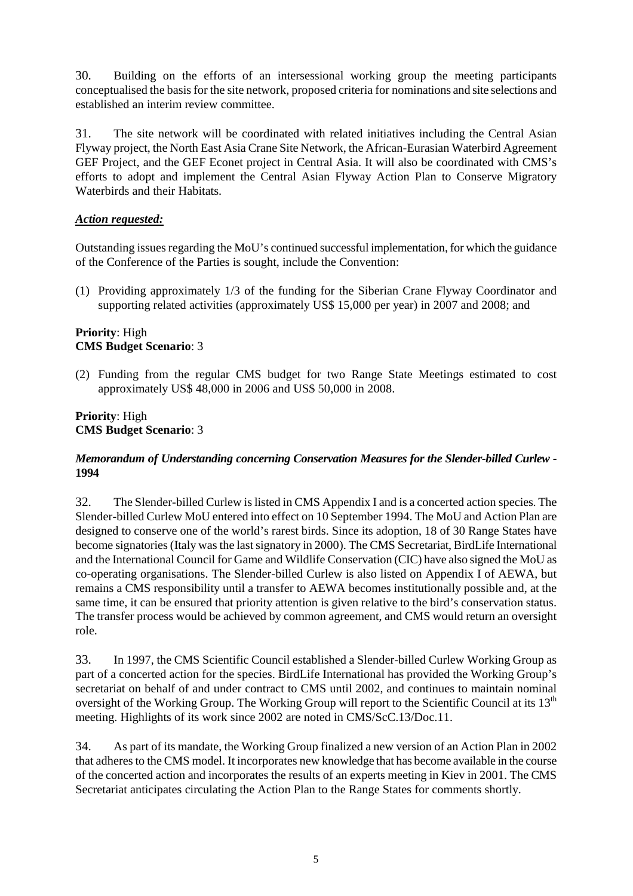30. Building on the efforts of an intersessional working group the meeting participants conceptualised the basis for the site network, proposed criteria for nominations and site selections and established an interim review committee.

31. The site network will be coordinated with related initiatives including the Central Asian Flyway project, the North East Asia Crane Site Network, the African-Eurasian Waterbird Agreement GEF Project, and the GEF Econet project in Central Asia. It will also be coordinated with CMS's efforts to adopt and implement the Central Asian Flyway Action Plan to Conserve Migratory Waterbirds and their Habitats.

### *Action requested:*

Outstanding issues regarding the MoU's continued successful implementation, for which the guidance of the Conference of the Parties is sought, include the Convention:

(1) Providing approximately 1/3 of the funding for the Siberian Crane Flyway Coordinator and supporting related activities (approximately US\$ 15,000 per year) in 2007 and 2008; and

#### **Priority**: High **CMS Budget Scenario**: 3

(2) Funding from the regular CMS budget for two Range State Meetings estimated to cost approximately US\$ 48,000 in 2006 and US\$ 50,000 in 2008.

#### **Priority**: High **CMS Budget Scenario**: 3

### *Memorandum of Understanding concerning Conservation Measures for the Slender-billed Curlew* **- 1994**

32. The Slender-billed Curlew is listed in CMS Appendix I and is a concerted action species. The Slender-billed Curlew MoU entered into effect on 10 September 1994. The MoU and Action Plan are designed to conserve one of the world's rarest birds. Since its adoption, 18 of 30 Range States have become signatories (Italy was the last signatory in 2000). The CMS Secretariat, BirdLife International and the International Council for Game and Wildlife Conservation (CIC) have also signed the MoU as co-operating organisations. The Slender-billed Curlew is also listed on Appendix I of AEWA, but remains a CMS responsibility until a transfer to AEWA becomes institutionally possible and, at the same time, it can be ensured that priority attention is given relative to the bird's conservation status. The transfer process would be achieved by common agreement, and CMS would return an oversight role.

33. In 1997, the CMS Scientific Council established a Slender-billed Curlew Working Group as part of a concerted action for the species. BirdLife International has provided the Working Group's secretariat on behalf of and under contract to CMS until 2002, and continues to maintain nominal oversight of the Working Group. The Working Group will report to the Scientific Council at its 13<sup>th</sup> meeting. Highlights of its work since 2002 are noted in CMS/ScC.13/Doc.11.

34. As part of its mandate, the Working Group finalized a new version of an Action Plan in 2002 that adheres to the CMS model. It incorporates new knowledge that has become available in the course of the concerted action and incorporates the results of an experts meeting in Kiev in 2001. The CMS Secretariat anticipates circulating the Action Plan to the Range States for comments shortly.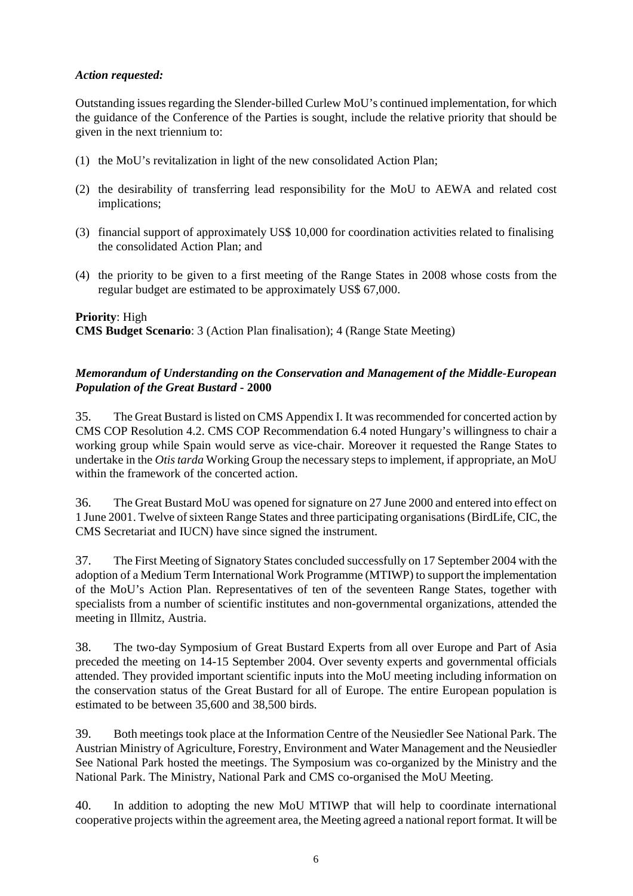### *Action requested:*

Outstanding issues regarding the Slender-billed Curlew MoU's continued implementation, for which the guidance of the Conference of the Parties is sought, include the relative priority that should be given in the next triennium to:

- (1) the MoU's revitalization in light of the new consolidated Action Plan;
- (2) the desirability of transferring lead responsibility for the MoU to AEWA and related cost implications;
- (3) financial support of approximately US\$ 10,000 for coordination activities related to finalising the consolidated Action Plan; and
- (4) the priority to be given to a first meeting of the Range States in 2008 whose costs from the regular budget are estimated to be approximately US\$ 67,000.

## **Priority**: High

**CMS Budget Scenario**: 3 (Action Plan finalisation); 4 (Range State Meeting)

### *Memorandum of Understanding on the Conservation and Management of the Middle-European Population of the Great Bustard* **- 2000**

35. The Great Bustard is listed on CMS Appendix I. It was recommended for concerted action by CMS COP Resolution 4.2. CMS COP Recommendation 6.4 noted Hungary's willingness to chair a working group while Spain would serve as vice-chair. Moreover it requested the Range States to undertake in the *Otis tarda* Working Group the necessary steps to implement, if appropriate, an MoU within the framework of the concerted action.

36. The Great Bustard MoU was opened for signature on 27 June 2000 and entered into effect on 1 June 2001. Twelve of sixteen Range States and three participating organisations (BirdLife, CIC, the CMS Secretariat and IUCN) have since signed the instrument.

37. The First Meeting of Signatory States concluded successfully on 17 September 2004 with the adoption of a Medium Term International Work Programme (MTIWP) to support the implementation of the MoU's Action Plan. Representatives of ten of the seventeen Range States, together with specialists from a number of scientific institutes and non-governmental organizations, attended the meeting in Illmitz, Austria.

38. The two-day Symposium of Great Bustard Experts from all over Europe and Part of Asia preceded the meeting on 14-15 September 2004. Over seventy experts and governmental officials attended. They provided important scientific inputs into the MoU meeting including information on the conservation status of the Great Bustard for all of Europe. The entire European population is estimated to be between 35,600 and 38,500 birds.

39. Both meetings took place at the Information Centre of the Neusiedler See National Park. The Austrian Ministry of Agriculture, Forestry, Environment and Water Management and the Neusiedler See National Park hosted the meetings. The Symposium was co-organized by the Ministry and the National Park. The Ministry, National Park and CMS co-organised the MoU Meeting.

40. In addition to adopting the new MoU MTIWP that will help to coordinate international cooperative projects within the agreement area, the Meeting agreed a national report format. It will be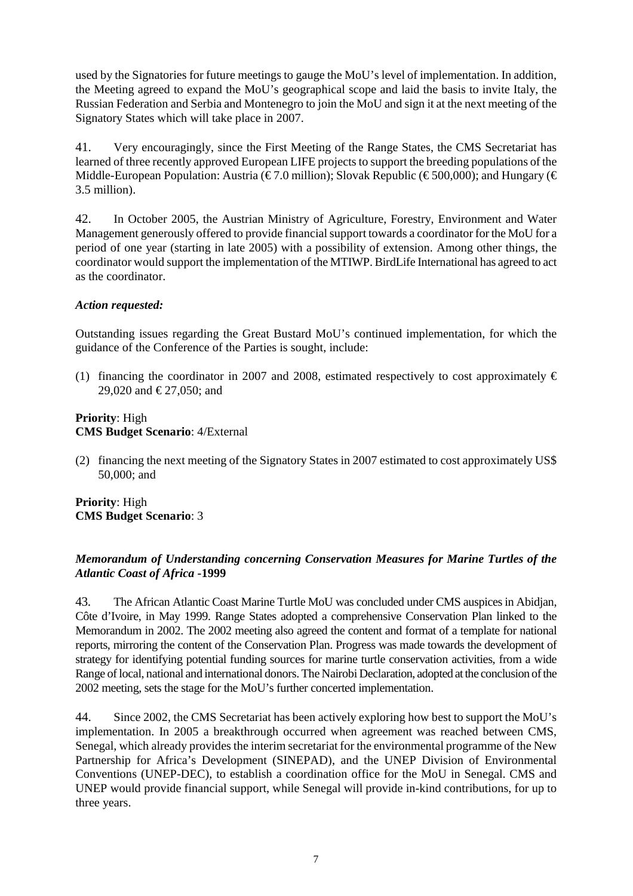used by the Signatories for future meetings to gauge the MoU's level of implementation. In addition, the Meeting agreed to expand the MoU's geographical scope and laid the basis to invite Italy, the Russian Federation and Serbia and Montenegro to join the MoU and sign it at the next meeting of the Signatory States which will take place in 2007.

41. Very encouragingly, since the First Meeting of the Range States, the CMS Secretariat has learned of three recently approved European LIFE projects to support the breeding populations of the Middle-European Population: Austria (€ 7.0 million) Slovak Republic (€ 500,000); and Hungary (€ 3.5 million).

42. In October 2005, the Austrian Ministry of Agriculture, Forestry, Environment and Water Management generously offered to provide financial support towards a coordinator for the MoU for a period of one year (starting in late 2005) with a possibility of extension. Among other things, the coordinator would support the implementation of the MTIWP. BirdLife International has agreed to act as the coordinator.

### *Action requested:*

Outstanding issues regarding the Great Bustard MoU's continued implementation, for which the guidance of the Conference of the Parties is sought, include:

(1) financing the coordinator in 2007 and 2008, estimated respectively to cost approximately  $\epsilon$ 29,020 and € 27,050; and

### **Priority**: High **CMS Budget Scenario**: 4/External

(2) financing the next meeting of the Signatory States in 2007 estimated to cost approximately US\$ 50,000; and

**Priority**: High **CMS Budget Scenario**: 3

### *Memorandum of Understanding concerning Conservation Measures for Marine Turtles of the Atlantic Coast of Africa* **-1999**

43. The African Atlantic Coast Marine Turtle MoU was concluded under CMS auspices in Abidjan, Côte d'Ivoire, in May 1999. Range States adopted a comprehensive Conservation Plan linked to the Memorandum in 2002. The 2002 meeting also agreed the content and format of a template for national reports, mirroring the content of the Conservation Plan. Progress was made towards the development of strategy for identifying potential funding sources for marine turtle conservation activities, from a wide Range of local, national and international donors. The Nairobi Declaration, adopted at the conclusion of the 2002 meeting, sets the stage for the MoU's further concerted implementation.

44. Since 2002, the CMS Secretariat has been actively exploring how best to support the MoU's implementation. In 2005 a breakthrough occurred when agreement was reached between CMS, Senegal, which already provides the interim secretariat for the environmental programme of the New Partnership for Africa's Development (SINEPAD), and the UNEP Division of Environmental Conventions (UNEP-DEC), to establish a coordination office for the MoU in Senegal. CMS and UNEP would provide financial support, while Senegal will provide in-kind contributions, for up to three years.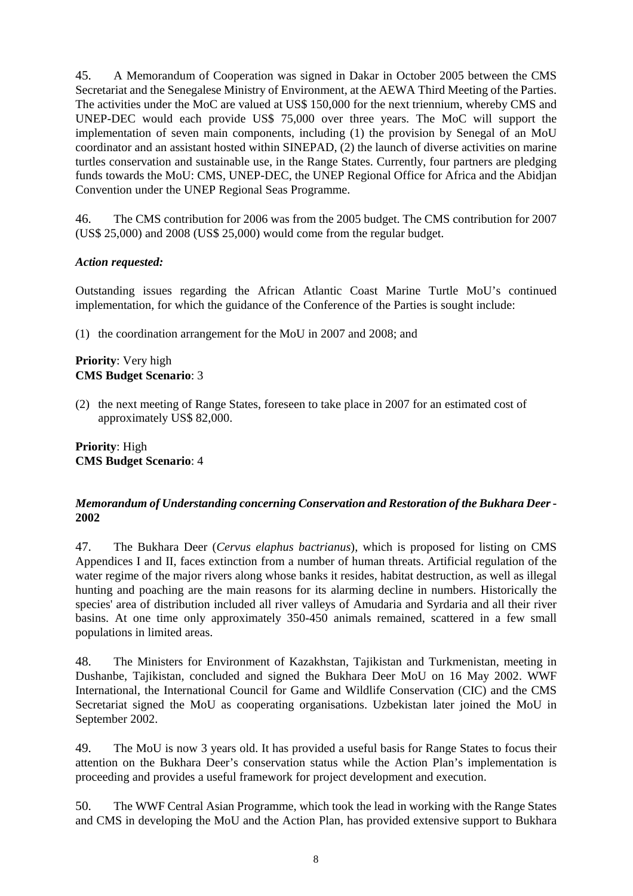45. A Memorandum of Cooperation was signed in Dakar in October 2005 between the CMS Secretariat and the Senegalese Ministry of Environment, at the AEWA Third Meeting of the Parties. The activities under the MoC are valued at US\$ 150,000 for the next triennium, whereby CMS and UNEP-DEC would each provide US\$ 75,000 over three years. The MoC will support the implementation of seven main components, including (1) the provision by Senegal of an MoU coordinator and an assistant hosted within SINEPAD, (2) the launch of diverse activities on marine turtles conservation and sustainable use, in the Range States. Currently, four partners are pledging funds towards the MoU: CMS, UNEP-DEC, the UNEP Regional Office for Africa and the Abidjan Convention under the UNEP Regional Seas Programme.

46. The CMS contribution for 2006 was from the 2005 budget. The CMS contribution for 2007 (US\$ 25,000) and 2008 (US\$ 25,000) would come from the regular budget.

### *Action requested:*

Outstanding issues regarding the African Atlantic Coast Marine Turtle MoU's continued implementation, for which the guidance of the Conference of the Parties is sought include:

(1) the coordination arrangement for the MoU in 2007 and 2008; and

#### **Priority**: Very high **CMS Budget Scenario**: 3

(2) the next meeting of Range States, foreseen to take place in 2007 for an estimated cost of approximately US\$ 82,000.

**Priority**: High **CMS Budget Scenario**: 4

### *Memorandum of Understanding concerning Conservation and Restoration of the Bukhara Deer* **- 2002**

47. The Bukhara Deer (*Cervus elaphus bactrianus*), which is proposed for listing on CMS Appendices I and II, faces extinction from a number of human threats. Artificial regulation of the water regime of the major rivers along whose banks it resides, habitat destruction, as well as illegal hunting and poaching are the main reasons for its alarming decline in numbers. Historically the species' area of distribution included all river valleys of Amudaria and Syrdaria and all their river basins. At one time only approximately 350-450 animals remained, scattered in a few small populations in limited areas.

48. The Ministers for Environment of Kazakhstan, Tajikistan and Turkmenistan, meeting in Dushanbe, Tajikistan, concluded and signed the Bukhara Deer MoU on 16 May 2002. WWF International, the International Council for Game and Wildlife Conservation (CIC) and the CMS Secretariat signed the MoU as cooperating organisations. Uzbekistan later joined the MoU in September 2002.

49. The MoU is now 3 years old. It has provided a useful basis for Range States to focus their attention on the Bukhara Deer's conservation status while the Action Plan's implementation is proceeding and provides a useful framework for project development and execution.

50. The WWF Central Asian Programme, which took the lead in working with the Range States and CMS in developing the MoU and the Action Plan, has provided extensive support to Bukhara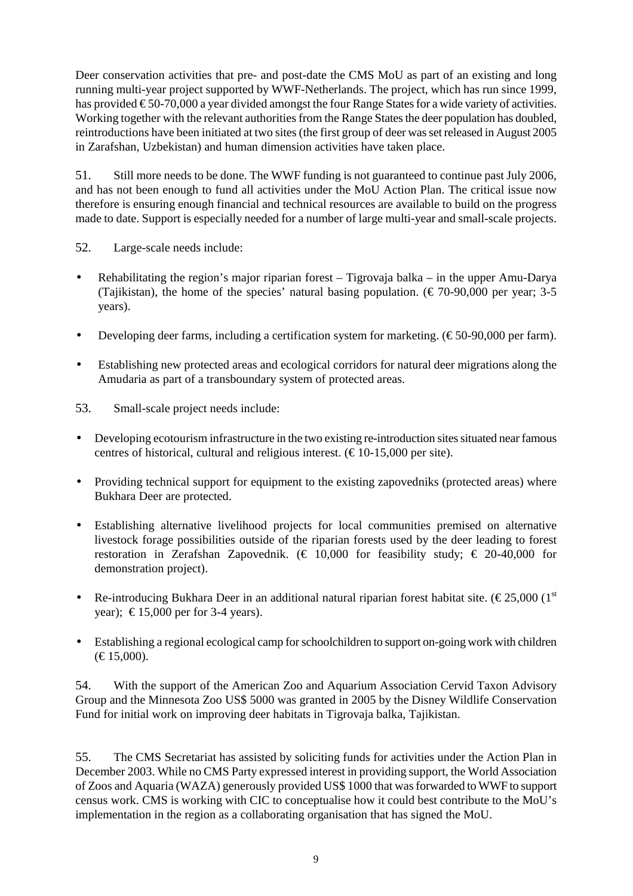Deer conservation activities that pre- and post-date the CMS MoU as part of an existing and long running multi-year project supported by WWF-Netherlands. The project, which has run since 1999, has provided  $\epsilon$  50-70,000 a year divided amongst the four Range States for a wide variety of activities. Working together with the relevant authorities from the Range States the deer population has doubled, reintroductions have been initiated at two sites (the first group of deer was set released in August 2005 in Zarafshan, Uzbekistan) and human dimension activities have taken place.

51. Still more needs to be done. The WWF funding is not guaranteed to continue past July 2006, and has not been enough to fund all activities under the MoU Action Plan. The critical issue now therefore is ensuring enough financial and technical resources are available to build on the progress made to date. Support is especially needed for a number of large multi-year and small-scale projects.

- 52. Large-scale needs include:
- Rehabilitating the region's major riparian forest Tigrovaja balka in the upper Amu-Darya (Tajikistan), the home of the species' natural basing population. ( $\epsilon$  70-90,000 per year; 3-5 years).
- Developing deer farms, including a certification system for marketing.  $(\epsilon 50\text{-}90,000 \text{ per farm})$ .
- Establishing new protected areas and ecological corridors for natural deer migrations along the Amudaria as part of a transboundary system of protected areas.
- 53. Small-scale project needs include:
- Developing ecotourism infrastructure in the two existing re-introduction sites situated near famous centres of historical, cultural and religious interest.  $(\epsilon 10{\text -}15{,}000 \text{ per site})$ .
- Providing technical support for equipment to the existing zapovedniks (protected areas) where Bukhara Deer are protected.
- Establishing alternative livelihood projects for local communities premised on alternative livestock forage possibilities outside of the riparian forests used by the deer leading to forest restoration in Zerafshan Zapovednik. ( $\in$  10,000 for feasibility study;  $\in$  20-40,000 for demonstration project).
- Re-introducing Bukhara Deer in an additional natural riparian forest habitat site. ( $\epsilon$  25,000 ( $\beta$ <sup>t</sup>) year);  $\in$  15,000 per for 3-4 years).
- Establishing a regional ecological camp for schoolchildren to support on-going work with children  $(\text{\textsterling} 15,000).$

54. With the support of the American Zoo and Aquarium Association Cervid Taxon Advisory Group and the Minnesota Zoo US\$ 5000 was granted in 2005 by the Disney Wildlife Conservation Fund for initial work on improving deer habitats in Tigrovaja balka, Tajikistan.

55. The CMS Secretariat has assisted by soliciting funds for activities under the Action Plan in December 2003. While no CMS Party expressed interest in providing support, the World Association of Zoos and Aquaria (WAZA) generously provided US\$ 1000 that was forwarded to WWF to support census work. CMS is working with CIC to conceptualise how it could best contribute to the MoU's implementation in the region as a collaborating organisation that has signed the MoU.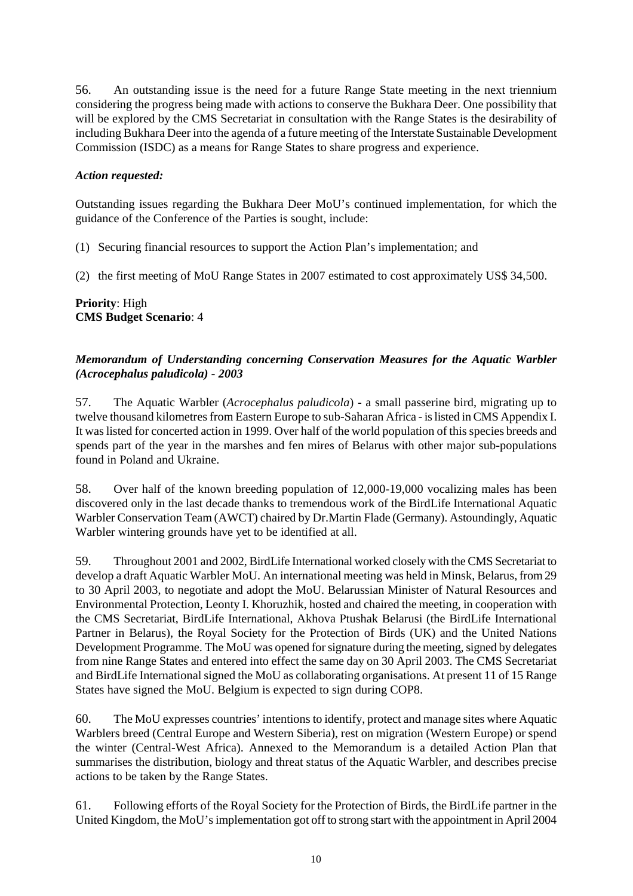56. An outstanding issue is the need for a future Range State meeting in the next triennium considering the progress being made with actions to conserve the Bukhara Deer. One possibility that will be explored by the CMS Secretariat in consultation with the Range States is the desirability of including Bukhara Deer into the agenda of a future meeting of the Interstate Sustainable Development Commission (ISDC) as a means for Range States to share progress and experience.

### *Action requested:*

Outstanding issues regarding the Bukhara Deer MoU's continued implementation, for which the guidance of the Conference of the Parties is sought, include:

- (1) Securing financial resources to support the Action Plan's implementation; and
- (2) the first meeting of MoU Range States in 2007 estimated to cost approximately US\$ 34,500.

#### **Priority**: High **CMS Budget Scenario**: 4

### *Memorandum of Understanding concerning Conservation Measures for the Aquatic Warbler (Acrocephalus paludicola) - 2003*

57. The Aquatic Warbler (*Acrocephalus paludicola*) - a small passerine bird, migrating up to twelve thousand kilometres from Eastern Europe to sub-Saharan Africa - is listed in CMS Appendix I. It was listed for concerted action in 1999. Over half of the world population of this species breeds and spends part of the year in the marshes and fen mires of Belarus with other major sub-populations found in Poland and Ukraine.

58. Over half of the known breeding population of 12,000-19,000 vocalizing males has been discovered only in the last decade thanks to tremendous work of the BirdLife International Aquatic Warbler Conservation Team (AWCT) chaired by Dr.Martin Flade (Germany). Astoundingly, Aquatic Warbler wintering grounds have yet to be identified at all.

59. Throughout 2001 and 2002, BirdLife International worked closely with the CMS Secretariat to develop a draft Aquatic Warbler MoU. An international meeting was held in Minsk, Belarus, from 29 to 30 April 2003, to negotiate and adopt the MoU. Belarussian Minister of Natural Resources and Environmental Protection, Leonty I. Khoruzhik, hosted and chaired the meeting, in cooperation with the CMS Secretariat, BirdLife International, Akhova Ptushak Belarusi (the BirdLife International Partner in Belarus), the Royal Society for the Protection of Birds (UK) and the United Nations Development Programme. The MoU was opened for signature during the meeting, signed by delegates from nine Range States and entered into effect the same day on 30 April 2003. The CMS Secretariat and BirdLife International signed the MoU as collaborating organisations. At present 11 of 15 Range States have signed the MoU. Belgium is expected to sign during COP8.

60. The MoU expresses countries' intentions to identify, protect and manage sites where Aquatic Warblers breed (Central Europe and Western Siberia), rest on migration (Western Europe) or spend the winter (Central-West Africa). Annexed to the Memorandum is a detailed Action Plan that summarises the distribution, biology and threat status of the Aquatic Warbler, and describes precise actions to be taken by the Range States.

61. Following efforts of the Royal Society for the Protection of Birds, the BirdLife partner in the United Kingdom, the MoU's implementation got off to strong start with the appointment in April 2004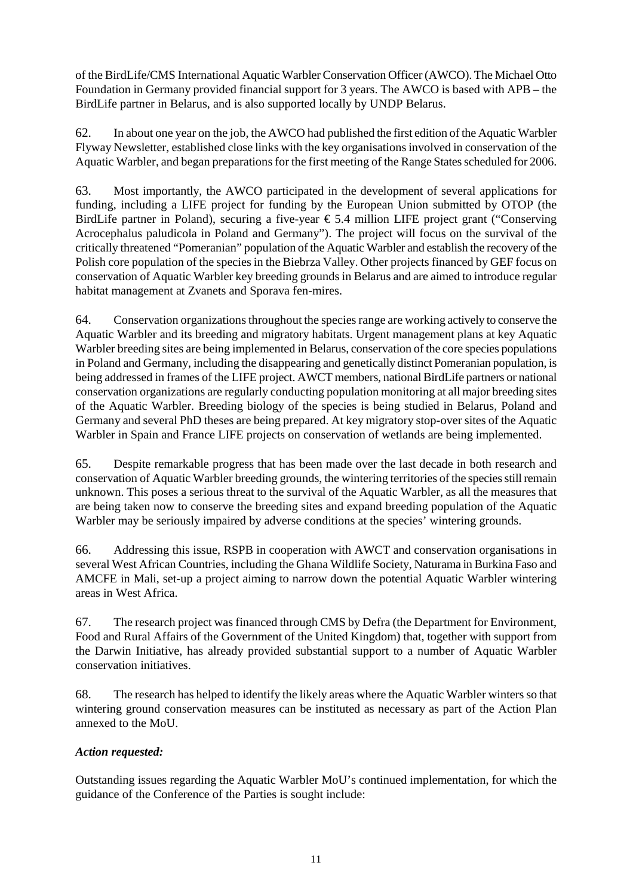of the BirdLife/CMS International Aquatic Warbler Conservation Officer (AWCO). The Michael Otto Foundation in Germany provided financial support for 3 years. The AWCO is based with APB – the BirdLife partner in Belarus, and is also supported locally by UNDP Belarus.

62. In about one year on the job, the AWCO had published the first edition of the Aquatic Warbler Flyway Newsletter, established close links with the key organisations involved in conservation of the Aquatic Warbler, and began preparations for the first meeting of the Range States scheduled for 2006.

63. Most importantly, the AWCO participated in the development of several applications for funding, including a LIFE project for funding by the European Union submitted by OTOP (the BirdLife partner in Poland), securing a five-year  $\epsilon$  5.4 million LIFE project grant ("Conserving Acrocephalus paludicola in Poland and Germany"). The project will focus on the survival of the critically threatened "Pomeranian" population of the Aquatic Warbler and establish the recovery of the Polish core population of the species in the Biebrza Valley. Other projects financed by GEF focus on conservation of Aquatic Warbler key breeding grounds in Belarus and are aimed to introduce regular habitat management at Zvanets and Sporava fen-mires.

64. Conservation organizations throughout the species range are working actively to conserve the Aquatic Warbler and its breeding and migratory habitats. Urgent management plans at key Aquatic Warbler breeding sites are being implemented in Belarus, conservation of the core species populations in Poland and Germany, including the disappearing and genetically distinct Pomeranian population, is being addressed in frames of the LIFE project. AWCT members, national BirdLife partners or national conservation organizations are regularly conducting population monitoring at all major breeding sites of the Aquatic Warbler. Breeding biology of the species is being studied in Belarus, Poland and Germany and several PhD theses are being prepared. At key migratory stop-over sites of the Aquatic Warbler in Spain and France LIFE projects on conservation of wetlands are being implemented.

65. Despite remarkable progress that has been made over the last decade in both research and conservation of Aquatic Warbler breeding grounds, the wintering territories of the species still remain unknown. This poses a serious threat to the survival of the Aquatic Warbler, as all the measures that are being taken now to conserve the breeding sites and expand breeding population of the Aquatic Warbler may be seriously impaired by adverse conditions at the species' wintering grounds.

66. Addressing this issue, RSPB in cooperation with AWCT and conservation organisations in several West African Countries, including the Ghana Wildlife Society, Naturama in Burkina Faso and AMCFE in Mali, set-up a project aiming to narrow down the potential Aquatic Warbler wintering areas in West Africa.

67. The research project was financed through CMS by Defra (the Department for Environment, Food and Rural Affairs of the Government of the United Kingdom) that, together with support from the Darwin Initiative, has already provided substantial support to a number of Aquatic Warbler conservation initiatives.

68. The research has helped to identify the likely areas where the Aquatic Warbler winters so that wintering ground conservation measures can be instituted as necessary as part of the Action Plan annexed to the MoU.

## *Action requested:*

Outstanding issues regarding the Aquatic Warbler MoU's continued implementation, for which the guidance of the Conference of the Parties is sought include: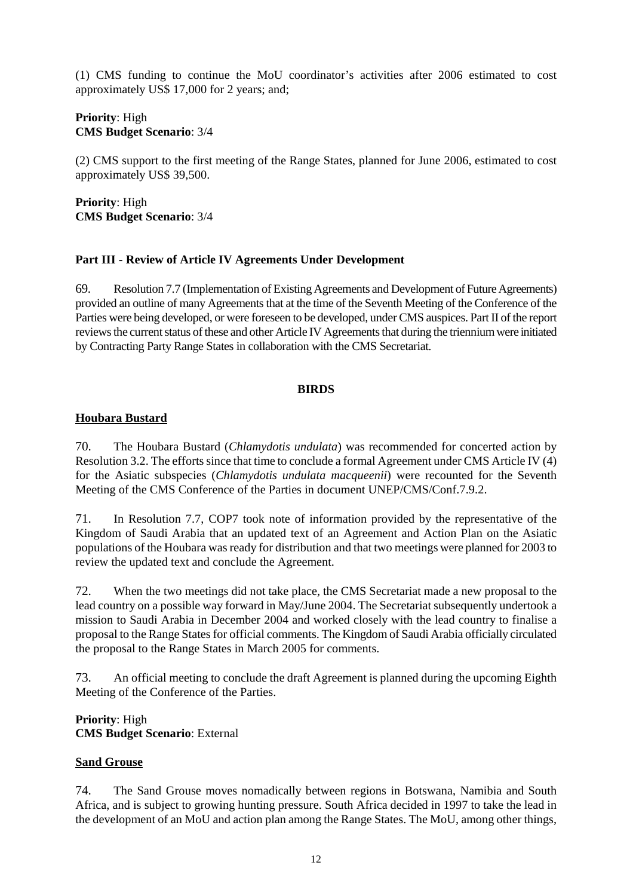(1) CMS funding to continue the MoU coordinator's activities after 2006 estimated to cost approximately US\$ 17,000 for 2 years; and;

**Priority**: High **CMS Budget Scenario**: 3/4

(2) CMS support to the first meeting of the Range States, planned for June 2006, estimated to cost approximately US\$ 39,500.

**Priority**: High **CMS Budget Scenario**: 3/4

#### **Part III - Review of Article IV Agreements Under Development**

69. Resolution 7.7 (Implementation of Existing Agreements and Development of Future Agreements) provided an outline of many Agreements that at the time of the Seventh Meeting of the Conference of the Parties were being developed, or were foreseen to be developed, under CMS auspices. Part II of the report reviews the current status of these and other Article IV Agreements that during the triennium were initiated by Contracting Party Range States in collaboration with the CMS Secretariat.

#### **BIRDS**

#### **Houbara Bustard**

70. The Houbara Bustard (*Chlamydotis undulata*) was recommended for concerted action by Resolution 3.2. The efforts since that time to conclude a formal Agreement under CMS Article IV (4) for the Asiatic subspecies (*Chlamydotis undulata macqueenii*) were recounted for the Seventh Meeting of the CMS Conference of the Parties in document UNEP/CMS/Conf.7.9.2.

71. In Resolution 7.7, COP7 took note of information provided by the representative of the Kingdom of Saudi Arabia that an updated text of an Agreement and Action Plan on the Asiatic populations of the Houbara was ready for distribution and that two meetings were planned for 2003 to review the updated text and conclude the Agreement.

72. When the two meetings did not take place, the CMS Secretariat made a new proposal to the lead country on a possible way forward in May/June 2004. The Secretariat subsequently undertook a mission to Saudi Arabia in December 2004 and worked closely with the lead country to finalise a proposal to the Range States for official comments. The Kingdom of Saudi Arabia officially circulated the proposal to the Range States in March 2005 for comments.

73. An official meeting to conclude the draft Agreement is planned during the upcoming Eighth Meeting of the Conference of the Parties.

### **Priority**: High **CMS Budget Scenario**: External

#### **Sand Grouse**

74. The Sand Grouse moves nomadically between regions in Botswana, Namibia and South Africa, and is subject to growing hunting pressure. South Africa decided in 1997 to take the lead in the development of an MoU and action plan among the Range States. The MoU, among other things,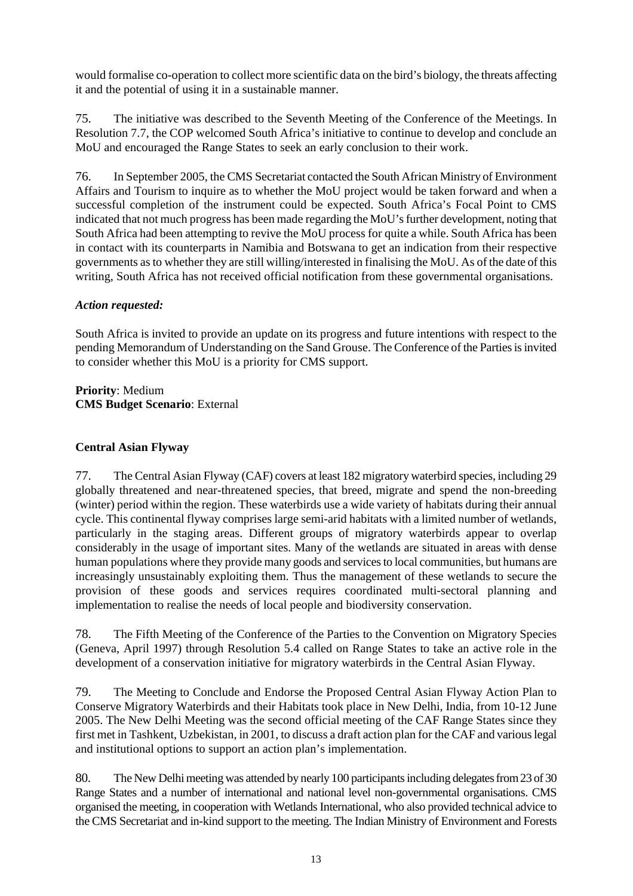would formalise co-operation to collect more scientific data on the bird's biology, the threats affecting it and the potential of using it in a sustainable manner.

75. The initiative was described to the Seventh Meeting of the Conference of the Meetings. In Resolution 7.7, the COP welcomed South Africa's initiative to continue to develop and conclude an MoU and encouraged the Range States to seek an early conclusion to their work.

76. In September 2005, the CMS Secretariat contacted the South African Ministry of Environment Affairs and Tourism to inquire as to whether the MoU project would be taken forward and when a successful completion of the instrument could be expected. South Africa's Focal Point to CMS indicated that not much progress has been made regarding the MoU's further development, noting that South Africa had been attempting to revive the MoU process for quite a while. South Africa has been in contact with its counterparts in Namibia and Botswana to get an indication from their respective governments as to whether they are still willing/interested in finalising the MoU. As of the date of this writing, South Africa has not received official notification from these governmental organisations.

### *Action requested:*

South Africa is invited to provide an update on its progress and future intentions with respect to the pending Memorandum of Understanding on the Sand Grouse. The Conference of the Parties is invited to consider whether this MoU is a priority for CMS support.

**Priority**: Medium **CMS Budget Scenario**: External

### **Central Asian Flyway**

77. The Central Asian Flyway (CAF) covers at least 182 migratory waterbird species, including 29 globally threatened and near-threatened species, that breed, migrate and spend the non-breeding (winter) period within the region. These waterbirds use a wide variety of habitats during their annual cycle. This continental flyway comprises large semi-arid habitats with a limited number of wetlands, particularly in the staging areas. Different groups of migratory waterbirds appear to overlap considerably in the usage of important sites. Many of the wetlands are situated in areas with dense human populations where they provide many goods and services to local communities, but humans are increasingly unsustainably exploiting them. Thus the management of these wetlands to secure the provision of these goods and services requires coordinated multi-sectoral planning and implementation to realise the needs of local people and biodiversity conservation.

78. The Fifth Meeting of the Conference of the Parties to the Convention on Migratory Species (Geneva, April 1997) through Resolution 5.4 called on Range States to take an active role in the development of a conservation initiative for migratory waterbirds in the Central Asian Flyway.

79. The Meeting to Conclude and Endorse the Proposed Central Asian Flyway Action Plan to Conserve Migratory Waterbirds and their Habitats took place in New Delhi, India, from 10-12 June 2005. The New Delhi Meeting was the second official meeting of the CAF Range States since they first met in Tashkent, Uzbekistan, in 2001, to discuss a draft action plan for the CAF and various legal and institutional options to support an action plan's implementation.

80. The New Delhi meeting was attended by nearly 100 participants including delegates from 23 of 30 Range States and a number of international and national level non-governmental organisations. CMS organised the meeting, in cooperation with Wetlands International, who also provided technical advice to the CMS Secretariat and in-kind support to the meeting. The Indian Ministry of Environment and Forests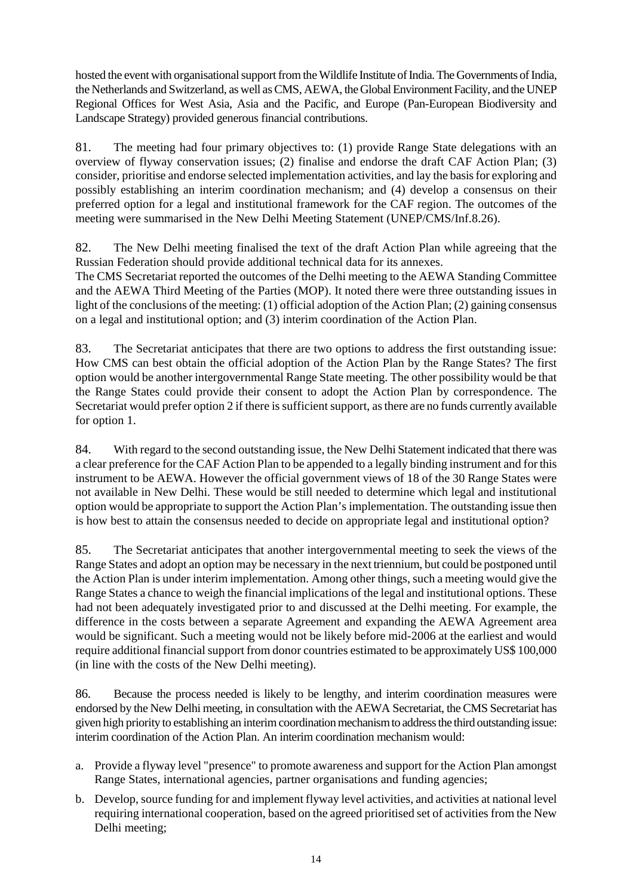hosted the event with organisational support from the Wildlife Institute of India. The Governments of India, the Netherlands and Switzerland, as well as CMS, AEWA, the Global Environment Facility, and the UNEP Regional Offices for West Asia, Asia and the Pacific, and Europe (Pan-European Biodiversity and Landscape Strategy) provided generous financial contributions.

81. The meeting had four primary objectives to: (1) provide Range State delegations with an overview of flyway conservation issues; (2) finalise and endorse the draft CAF Action Plan; (3) consider, prioritise and endorse selected implementation activities, and lay the basis for exploring and possibly establishing an interim coordination mechanism; and (4) develop a consensus on their preferred option for a legal and institutional framework for the CAF region. The outcomes of the meeting were summarised in the New Delhi Meeting Statement (UNEP/CMS/Inf.8.26).

82. The New Delhi meeting finalised the text of the draft Action Plan while agreeing that the Russian Federation should provide additional technical data for its annexes.

The CMS Secretariat reported the outcomes of the Delhi meeting to the AEWA Standing Committee and the AEWA Third Meeting of the Parties (MOP). It noted there were three outstanding issues in light of the conclusions of the meeting: (1) official adoption of the Action Plan; (2) gaining consensus on a legal and institutional option; and (3) interim coordination of the Action Plan.

83. The Secretariat anticipates that there are two options to address the first outstanding issue: How CMS can best obtain the official adoption of the Action Plan by the Range States? The first option would be another intergovernmental Range State meeting. The other possibility would be that the Range States could provide their consent to adopt the Action Plan by correspondence. The Secretariat would prefer option 2 if there is sufficient support, as there are no funds currently available for option 1.

84. With regard to the second outstanding issue, the New Delhi Statement indicated that there was a clear preference for the CAF Action Plan to be appended to a legally binding instrument and for this instrument to be AEWA. However the official government views of 18 of the 30 Range States were not available in New Delhi. These would be still needed to determine which legal and institutional option would be appropriate to support the Action Plan's implementation. The outstanding issue then is how best to attain the consensus needed to decide on appropriate legal and institutional option?

85. The Secretariat anticipates that another intergovernmental meeting to seek the views of the Range States and adopt an option may be necessary in the next triennium, but could be postponed until the Action Plan is under interim implementation. Among other things, such a meeting would give the Range States a chance to weigh the financial implications of the legal and institutional options. These had not been adequately investigated prior to and discussed at the Delhi meeting. For example, the difference in the costs between a separate Agreement and expanding the AEWA Agreement area would be significant. Such a meeting would not be likely before mid-2006 at the earliest and would require additional financial support from donor countries estimated to be approximately US\$ 100,000 (in line with the costs of the New Delhi meeting).

86. Because the process needed is likely to be lengthy, and interim coordination measures were endorsed by the New Delhi meeting, in consultation with the AEWA Secretariat, the CMS Secretariat has given high priority to establishing an interim coordination mechanism to address the third outstanding issue: interim coordination of the Action Plan. An interim coordination mechanism would:

- a. Provide a flyway level "presence" to promote awareness and support for the Action Plan amongst Range States, international agencies, partner organisations and funding agencies;
- b. Develop, source funding for and implement flyway level activities, and activities at national level requiring international cooperation, based on the agreed prioritised set of activities from the New Delhi meeting;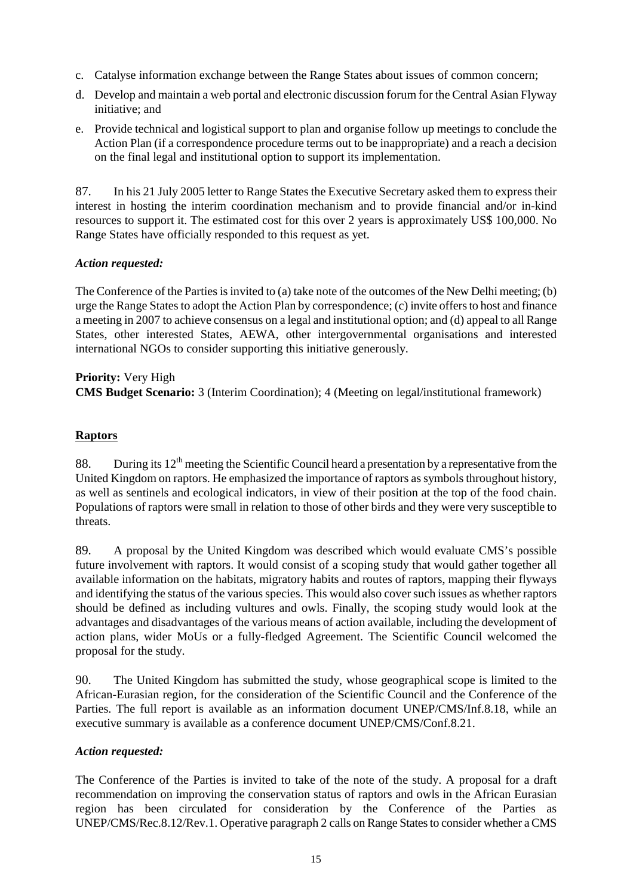- c. Catalyse information exchange between the Range States about issues of common concern;
- d. Develop and maintain a web portal and electronic discussion forum for the Central Asian Flyway initiative; and
- e. Provide technical and logistical support to plan and organise follow up meetings to conclude the Action Plan (if a correspondence procedure terms out to be inappropriate) and a reach a decision on the final legal and institutional option to support its implementation.

87. In his 21 July 2005 letter to Range States the Executive Secretary asked them to express their interest in hosting the interim coordination mechanism and to provide financial and/or in-kind resources to support it. The estimated cost for this over 2 years is approximately US\$ 100,000. No Range States have officially responded to this request as yet.

### *Action requested:*

The Conference of the Parties is invited to (a) take note of the outcomes of the New Delhi meeting; (b) urge the Range States to adopt the Action Plan by correspondence; (c) invite offers to host and finance a meeting in 2007 to achieve consensus on a legal and institutional option; and (d) appeal to all Range States, other interested States, AEWA, other intergovernmental organisations and interested international NGOs to consider supporting this initiative generously.

### **Priority:** Very High

**CMS Budget Scenario:** 3 (Interim Coordination); 4 (Meeting on legal/institutional framework)

## **Raptors**

88. During its  $12<sup>th</sup>$  meeting the Scientific Council heard a presentation by a representative from the United Kingdom on raptors. He emphasized the importance of raptors as symbols throughout history, as well as sentinels and ecological indicators, in view of their position at the top of the food chain. Populations of raptors were small in relation to those of other birds and they were very susceptible to threats.

89. A proposal by the United Kingdom was described which would evaluate CMS's possible future involvement with raptors. It would consist of a scoping study that would gather together all available information on the habitats, migratory habits and routes of raptors, mapping their flyways and identifying the status of the various species. This would also cover such issues as whether raptors should be defined as including vultures and owls. Finally, the scoping study would look at the advantages and disadvantages of the various means of action available, including the development of action plans, wider MoUs or a fully-fledged Agreement. The Scientific Council welcomed the proposal for the study.

90. The United Kingdom has submitted the study, whose geographical scope is limited to the African-Eurasian region, for the consideration of the Scientific Council and the Conference of the Parties. The full report is available as an information document UNEP/CMS/Inf.8.18, while an executive summary is available as a conference document UNEP/CMS/Conf.8.21.

### *Action requested:*

The Conference of the Parties is invited to take of the note of the study. A proposal for a draft recommendation on improving the conservation status of raptors and owls in the African Eurasian region has been circulated for consideration by the Conference of the Parties as UNEP/CMS/Rec.8.12/Rev.1. Operative paragraph 2 calls on Range States to consider whether a CMS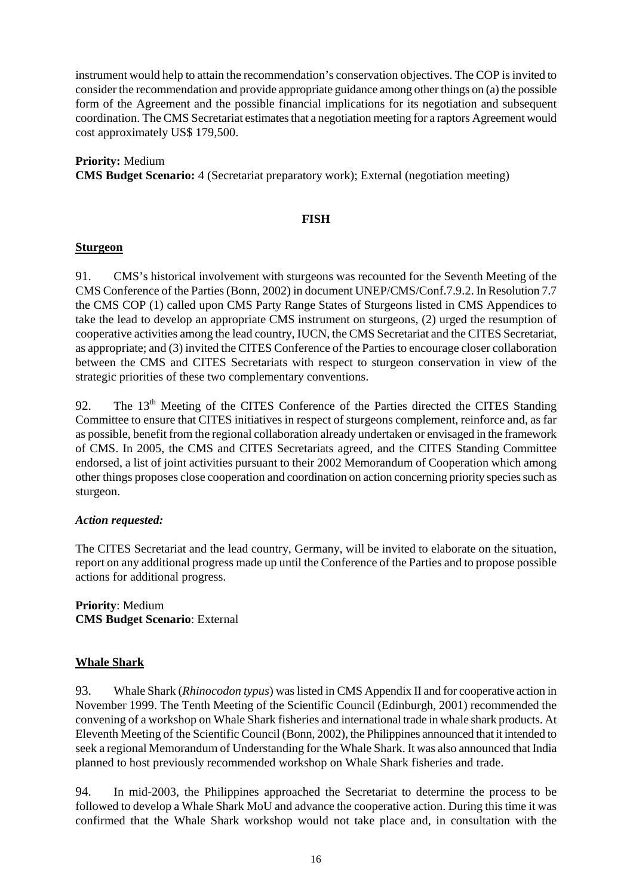instrument would help to attain the recommendation's conservation objectives. The COP is invited to consider the recommendation and provide appropriate guidance among other things on (a) the possible form of the Agreement and the possible financial implications for its negotiation and subsequent coordination. The CMS Secretariat estimates that a negotiation meeting for a raptors Agreement would cost approximately US\$ 179,500.

**Priority:** Medium **CMS Budget Scenario:** 4 (Secretariat preparatory work); External (negotiation meeting)

### **FISH**

### **Sturgeon**

91. CMS's historical involvement with sturgeons was recounted for the Seventh Meeting of the CMS Conference of the Parties (Bonn, 2002) in document UNEP/CMS/Conf.7.9.2. In Resolution 7.7 the CMS COP (1) called upon CMS Party Range States of Sturgeons listed in CMS Appendices to take the lead to develop an appropriate CMS instrument on sturgeons, (2) urged the resumption of cooperative activities among the lead country, IUCN, the CMS Secretariat and the CITES Secretariat, as appropriate; and (3) invited the CITES Conference of the Parties to encourage closer collaboration between the CMS and CITES Secretariats with respect to sturgeon conservation in view of the strategic priorities of these two complementary conventions.

92. The 13<sup>th</sup> Meeting of the CITES Conference of the Parties directed the CITES Standing Committee to ensure that CITES initiatives in respect of sturgeons complement, reinforce and, as far as possible, benefit from the regional collaboration already undertaken or envisaged in the framework of CMS. In 2005, the CMS and CITES Secretariats agreed, and the CITES Standing Committee endorsed, a list of joint activities pursuant to their 2002 Memorandum of Cooperation which among other things proposes close cooperation and coordination on action concerning priority species such as sturgeon.

### *Action requested:*

The CITES Secretariat and the lead country, Germany, will be invited to elaborate on the situation, report on any additional progress made up until the Conference of the Parties and to propose possible actions for additional progress.

**Priority**: Medium **CMS Budget Scenario**: External

### **Whale Shark**

93. Whale Shark (*Rhinocodon typus*) was listed in CMS Appendix II and for cooperative action in November 1999. The Tenth Meeting of the Scientific Council (Edinburgh, 2001) recommended the convening of a workshop on Whale Shark fisheries and international trade in whale shark products. At Eleventh Meeting of the Scientific Council (Bonn, 2002), the Philippines announced that it intended to seek a regional Memorandum of Understanding for the Whale Shark. It was also announced that India planned to host previously recommended workshop on Whale Shark fisheries and trade.

94. In mid-2003, the Philippines approached the Secretariat to determine the process to be followed to develop a Whale Shark MoU and advance the cooperative action. During this time it was confirmed that the Whale Shark workshop would not take place and, in consultation with the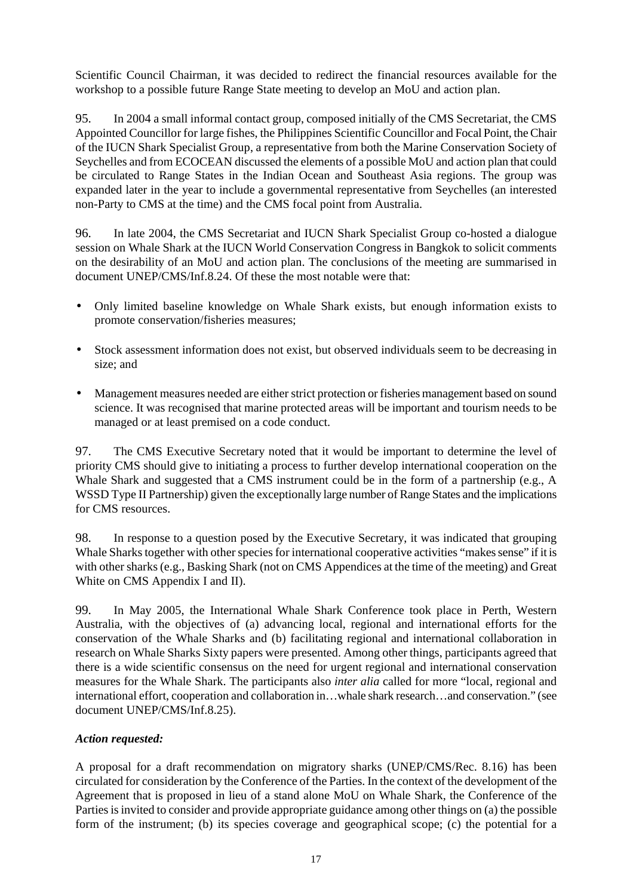Scientific Council Chairman, it was decided to redirect the financial resources available for the workshop to a possible future Range State meeting to develop an MoU and action plan.

95. In 2004 a small informal contact group, composed initially of the CMS Secretariat, the CMS Appointed Councillor for large fishes, the Philippines Scientific Councillor and Focal Point, the Chair of the IUCN Shark Specialist Group, a representative from both the Marine Conservation Society of Seychelles and from ECOCEAN discussed the elements of a possible MoU and action plan that could be circulated to Range States in the Indian Ocean and Southeast Asia regions. The group was expanded later in the year to include a governmental representative from Seychelles (an interested non-Party to CMS at the time) and the CMS focal point from Australia.

96. In late 2004, the CMS Secretariat and IUCN Shark Specialist Group co-hosted a dialogue session on Whale Shark at the IUCN World Conservation Congress in Bangkok to solicit comments on the desirability of an MoU and action plan. The conclusions of the meeting are summarised in document UNEP/CMS/Inf.8.24. Of these the most notable were that:

- Only limited baseline knowledge on Whale Shark exists, but enough information exists to promote conservation/fisheries measures;
- Stock assessment information does not exist, but observed individuals seem to be decreasing in size; and
- Management measures needed are either strict protection or fisheries management based on sound science. It was recognised that marine protected areas will be important and tourism needs to be managed or at least premised on a code conduct.

97. The CMS Executive Secretary noted that it would be important to determine the level of priority CMS should give to initiating a process to further develop international cooperation on the Whale Shark and suggested that a CMS instrument could be in the form of a partnership (e.g., A WSSD Type II Partnership) given the exceptionally large number of Range States and the implications for CMS resources.

98. In response to a question posed by the Executive Secretary, it was indicated that grouping Whale Sharks together with other species for international cooperative activities "makes sense" if it is with other sharks (e.g., Basking Shark (not on CMS Appendices at the time of the meeting) and Great White on CMS Appendix I and II).

99. In May 2005, the International Whale Shark Conference took place in Perth, Western Australia, with the objectives of (a) advancing local, regional and international efforts for the conservation of the Whale Sharks and (b) facilitating regional and international collaboration in research on Whale Sharks Sixty papers were presented. Among other things, participants agreed that there is a wide scientific consensus on the need for urgent regional and international conservation measures for the Whale Shark. The participants also *inter alia* called for more "local, regional and international effort, cooperation and collaboration in…whale shark research…and conservation." (see document UNEP/CMS/Inf.8.25).

## *Action requested:*

A proposal for a draft recommendation on migratory sharks (UNEP/CMS/Rec. 8.16) has been circulated for consideration by the Conference of the Parties. In the context of the development of the Agreement that is proposed in lieu of a stand alone MoU on Whale Shark, the Conference of the Parties is invited to consider and provide appropriate guidance among other things on (a) the possible form of the instrument; (b) its species coverage and geographical scope; (c) the potential for a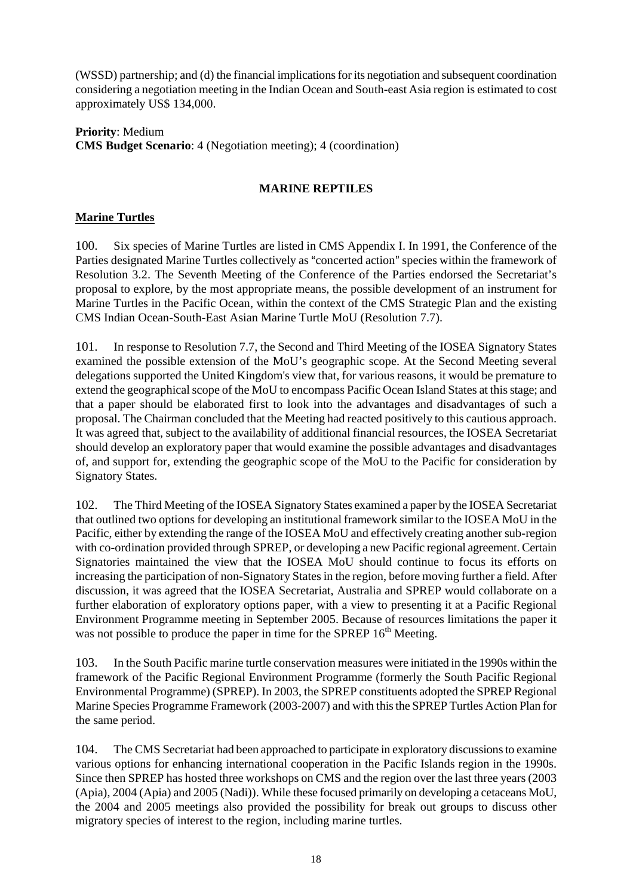(WSSD) partnership; and (d) the financial implications for its negotiation and subsequent coordination considering a negotiation meeting in the Indian Ocean and South-east Asia region is estimated to cost approximately US\$ 134,000.

### **Priority**: Medium **CMS Budget Scenario**: 4 (Negotiation meeting); 4 (coordination)

## **MARINE REPTILES**

### **Marine Turtles**

100. Six species of Marine Turtles are listed in CMS Appendix I. In 1991, the Conference of the Parties designated Marine Turtles collectively as "concerted action" species within the framework of Resolution 3.2. The Seventh Meeting of the Conference of the Parties endorsed the Secretariat's proposal to explore, by the most appropriate means, the possible development of an instrument for Marine Turtles in the Pacific Ocean, within the context of the CMS Strategic Plan and the existing CMS Indian Ocean-South-East Asian Marine Turtle MoU (Resolution 7.7).

101. In response to Resolution 7.7, the Second and Third Meeting of the IOSEA Signatory States examined the possible extension of the MoU's geographic scope. At the Second Meeting several delegations supported the United Kingdom's view that, for various reasons, it would be premature to extend the geographical scope of the MoU to encompass Pacific Ocean Island States at this stage; and that a paper should be elaborated first to look into the advantages and disadvantages of such a proposal. The Chairman concluded that the Meeting had reacted positively to this cautious approach. It was agreed that, subject to the availability of additional financial resources, the IOSEA Secretariat should develop an exploratory paper that would examine the possible advantages and disadvantages of, and support for, extending the geographic scope of the MoU to the Pacific for consideration by Signatory States.

102. The Third Meeting of the IOSEA Signatory States examined a paper by the IOSEA Secretariat that outlined two options for developing an institutional framework similar to the IOSEA MoU in the Pacific, either by extending the range of the IOSEA MoU and effectively creating another sub-region with co-ordination provided through SPREP, or developing a new Pacific regional agreement. Certain Signatories maintained the view that the IOSEA MoU should continue to focus its efforts on increasing the participation of non-Signatory States in the region, before moving further a field. After discussion, it was agreed that the IOSEA Secretariat, Australia and SPREP would collaborate on a further elaboration of exploratory options paper, with a view to presenting it at a Pacific Regional Environment Programme meeting in September 2005. Because of resources limitations the paper it was not possible to produce the paper in time for the SPREP 16<sup>th</sup> Meeting.

103. In the South Pacific marine turtle conservation measures were initiated in the 1990s within the framework of the Pacific Regional Environment Programme (formerly the South Pacific Regional Environmental Programme) (SPREP). In 2003, the SPREP constituents adopted the SPREP Regional Marine Species Programme Framework (2003-2007) and with this the SPREP Turtles Action Plan for the same period.

104. The CMS Secretariat had been approached to participate in exploratory discussions to examine various options for enhancing international cooperation in the Pacific Islands region in the 1990s. Since then SPREP has hosted three workshops on CMS and the region over the last three years (2003 (Apia), 2004 (Apia) and 2005 (Nadi)). While these focused primarily on developing a cetaceans MoU, the 2004 and 2005 meetings also provided the possibility for break out groups to discuss other migratory species of interest to the region, including marine turtles.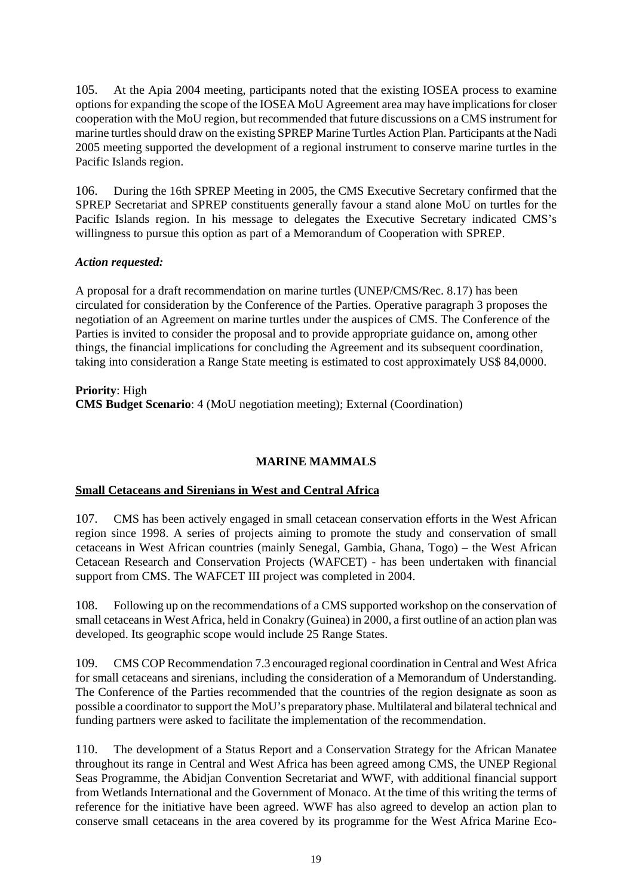105. At the Apia 2004 meeting, participants noted that the existing IOSEA process to examine options for expanding the scope of the IOSEA MoU Agreement area may have implications for closer cooperation with the MoU region, but recommended that future discussions on a CMS instrument for marine turtles should draw on the existing SPREP Marine Turtles Action Plan. Participants at the Nadi 2005 meeting supported the development of a regional instrument to conserve marine turtles in the Pacific Islands region.

106. During the 16th SPREP Meeting in 2005, the CMS Executive Secretary confirmed that the SPREP Secretariat and SPREP constituents generally favour a stand alone MoU on turtles for the Pacific Islands region. In his message to delegates the Executive Secretary indicated CMS's willingness to pursue this option as part of a Memorandum of Cooperation with SPREP.

### *Action requested:*

A proposal for a draft recommendation on marine turtles (UNEP/CMS/Rec. 8.17) has been circulated for consideration by the Conference of the Parties. Operative paragraph 3 proposes the negotiation of an Agreement on marine turtles under the auspices of CMS. The Conference of the Parties is invited to consider the proposal and to provide appropriate guidance on, among other things, the financial implications for concluding the Agreement and its subsequent coordination, taking into consideration a Range State meeting is estimated to cost approximately US\$ 84,0000.

**Priority**: High **CMS Budget Scenario**: 4 (MoU negotiation meeting); External (Coordination)

### **MARINE MAMMALS**

### **Small Cetaceans and Sirenians in West and Central Africa**

107. CMS has been actively engaged in small cetacean conservation efforts in the West African region since 1998. A series of projects aiming to promote the study and conservation of small cetaceans in West African countries (mainly Senegal, Gambia, Ghana, Togo) – the West African Cetacean Research and Conservation Projects (WAFCET) - has been undertaken with financial support from CMS. The WAFCET III project was completed in 2004.

108. Following up on the recommendations of a CMS supported workshop on the conservation of small cetaceans in West Africa, held in Conakry (Guinea) in 2000, a first outline of an action plan was developed. Its geographic scope would include 25 Range States.

109. CMS COP Recommendation 7.3 encouraged regional coordination in Central and West Africa for small cetaceans and sirenians, including the consideration of a Memorandum of Understanding. The Conference of the Parties recommended that the countries of the region designate as soon as possible a coordinator to support the MoU's preparatory phase. Multilateral and bilateral technical and funding partners were asked to facilitate the implementation of the recommendation.

110. The development of a Status Report and a Conservation Strategy for the African Manatee throughout its range in Central and West Africa has been agreed among CMS, the UNEP Regional Seas Programme, the Abidjan Convention Secretariat and WWF, with additional financial support from Wetlands International and the Government of Monaco. At the time of this writing the terms of reference for the initiative have been agreed. WWF has also agreed to develop an action plan to conserve small cetaceans in the area covered by its programme for the West Africa Marine Eco-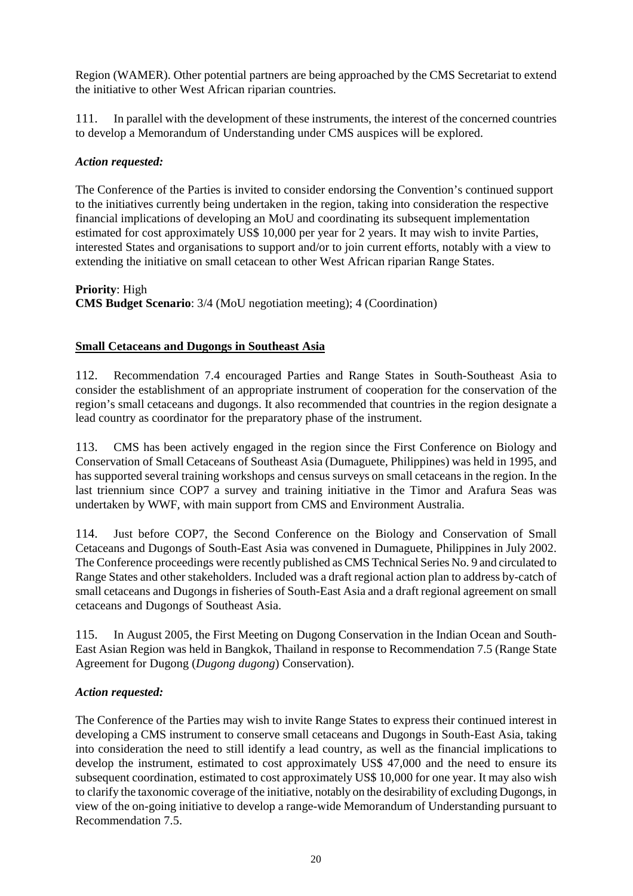Region (WAMER). Other potential partners are being approached by the CMS Secretariat to extend the initiative to other West African riparian countries.

111. In parallel with the development of these instruments, the interest of the concerned countries to develop a Memorandum of Understanding under CMS auspices will be explored.

### *Action requested:*

The Conference of the Parties is invited to consider endorsing the Convention's continued support to the initiatives currently being undertaken in the region, taking into consideration the respective financial implications of developing an MoU and coordinating its subsequent implementation estimated for cost approximately US\$ 10,000 per year for 2 years. It may wish to invite Parties, interested States and organisations to support and/or to join current efforts, notably with a view to extending the initiative on small cetacean to other West African riparian Range States.

**Priority**: High **CMS Budget Scenario**: 3/4 (MoU negotiation meeting); 4 (Coordination)

### **Small Cetaceans and Dugongs in Southeast Asia**

112. Recommendation 7.4 encouraged Parties and Range States in South-Southeast Asia to consider the establishment of an appropriate instrument of cooperation for the conservation of the region's small cetaceans and dugongs. It also recommended that countries in the region designate a lead country as coordinator for the preparatory phase of the instrument.

113. CMS has been actively engaged in the region since the First Conference on Biology and Conservation of Small Cetaceans of Southeast Asia (Dumaguete, Philippines) was held in 1995, and has supported several training workshops and census surveys on small cetaceans in the region. In the last triennium since COP7 a survey and training initiative in the Timor and Arafura Seas was undertaken by WWF, with main support from CMS and Environment Australia.

114. Just before COP7, the Second Conference on the Biology and Conservation of Small Cetaceans and Dugongs of South-East Asia was convened in Dumaguete, Philippines in July 2002. The Conference proceedings were recently published as CMS Technical Series No. 9 and circulated to Range States and other stakeholders. Included was a draft regional action plan to address by-catch of small cetaceans and Dugongs in fisheries of South-East Asia and a draft regional agreement on small cetaceans and Dugongs of Southeast Asia.

115. In August 2005, the First Meeting on Dugong Conservation in the Indian Ocean and South-East Asian Region was held in Bangkok, Thailand in response to Recommendation 7.5 (Range State Agreement for Dugong (*Dugong dugong*) Conservation).

### *Action requested:*

The Conference of the Parties may wish to invite Range States to express their continued interest in developing a CMS instrument to conserve small cetaceans and Dugongs in South-East Asia, taking into consideration the need to still identify a lead country, as well as the financial implications to develop the instrument, estimated to cost approximately US\$ 47,000 and the need to ensure its subsequent coordination, estimated to cost approximately US\$ 10,000 for one year. It may also wish to clarify the taxonomic coverage of the initiative, notably on the desirability of excluding Dugongs, in view of the on-going initiative to develop a range-wide Memorandum of Understanding pursuant to Recommendation 7.5.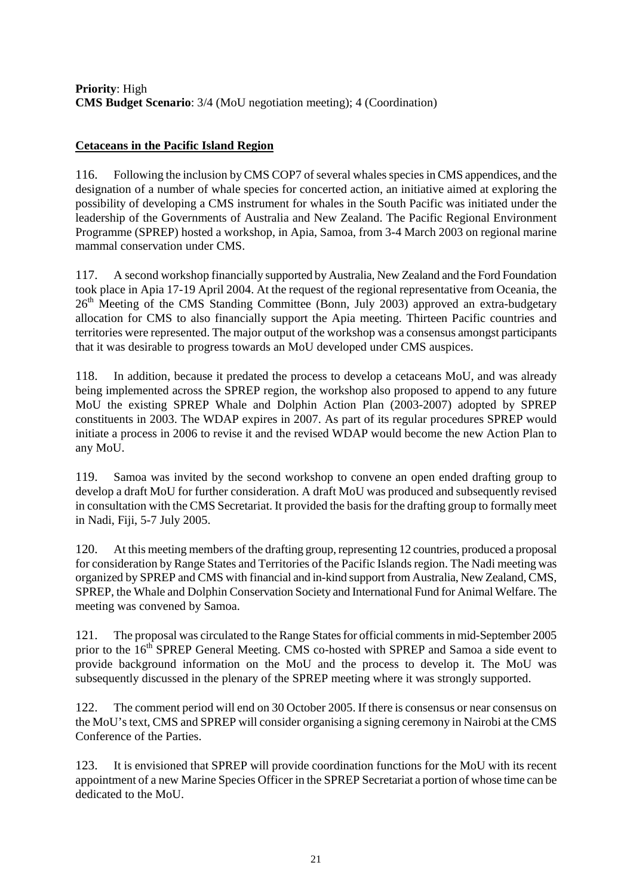**Priority**: High **CMS Budget Scenario**: 3/4 (MoU negotiation meeting); 4 (Coordination)

### **Cetaceans in the Pacific Island Region**

116. Following the inclusion by CMS COP7 of several whales species in CMS appendices, and the designation of a number of whale species for concerted action, an initiative aimed at exploring the possibility of developing a CMS instrument for whales in the South Pacific was initiated under the leadership of the Governments of Australia and New Zealand. The Pacific Regional Environment Programme (SPREP) hosted a workshop, in Apia, Samoa, from 3-4 March 2003 on regional marine mammal conservation under CMS.

117. A second workshop financially supported by Australia, New Zealand and the Ford Foundation took place in Apia 17-19 April 2004. At the request of the regional representative from Oceania, the 26<sup>th</sup> Meeting of the CMS Standing Committee (Bonn, July 2003) approved an extra-budgetary allocation for CMS to also financially support the Apia meeting. Thirteen Pacific countries and territories were represented. The major output of the workshop was a consensus amongst participants that it was desirable to progress towards an MoU developed under CMS auspices.

118. In addition, because it predated the process to develop a cetaceans MoU, and was already being implemented across the SPREP region, the workshop also proposed to append to any future MoU the existing SPREP Whale and Dolphin Action Plan (2003-2007) adopted by SPREP constituents in 2003. The WDAP expires in 2007. As part of its regular procedures SPREP would initiate a process in 2006 to revise it and the revised WDAP would become the new Action Plan to any MoU.

119. Samoa was invited by the second workshop to convene an open ended drafting group to develop a draft MoU for further consideration. A draft MoU was produced and subsequently revised in consultation with the CMS Secretariat. It provided the basis for the drafting group to formally meet in Nadi, Fiji, 5-7 July 2005.

120. At this meeting members of the drafting group, representing 12 countries, produced a proposal for consideration by Range States and Territories of the Pacific Islands region. The Nadi meeting was organized by SPREP and CMS with financial and in-kind support from Australia, New Zealand, CMS, SPREP, the Whale and Dolphin Conservation Society and International Fund for Animal Welfare. The meeting was convened by Samoa.

121. The proposal was circulated to the Range States for official comments in mid-September 2005 prior to the 16<sup>th</sup> SPREP General Meeting. CMS co-hosted with SPREP and Samoa a side event to provide background information on the MoU and the process to develop it. The MoU was subsequently discussed in the plenary of the SPREP meeting where it was strongly supported.

122. The comment period will end on 30 October 2005. If there is consensus or near consensus on the MoU's text, CMS and SPREP will consider organising a signing ceremony in Nairobi at the CMS Conference of the Parties.

123. It is envisioned that SPREP will provide coordination functions for the MoU with its recent appointment of a new Marine Species Officer in the SPREP Secretariat a portion of whose time can be dedicated to the MoU.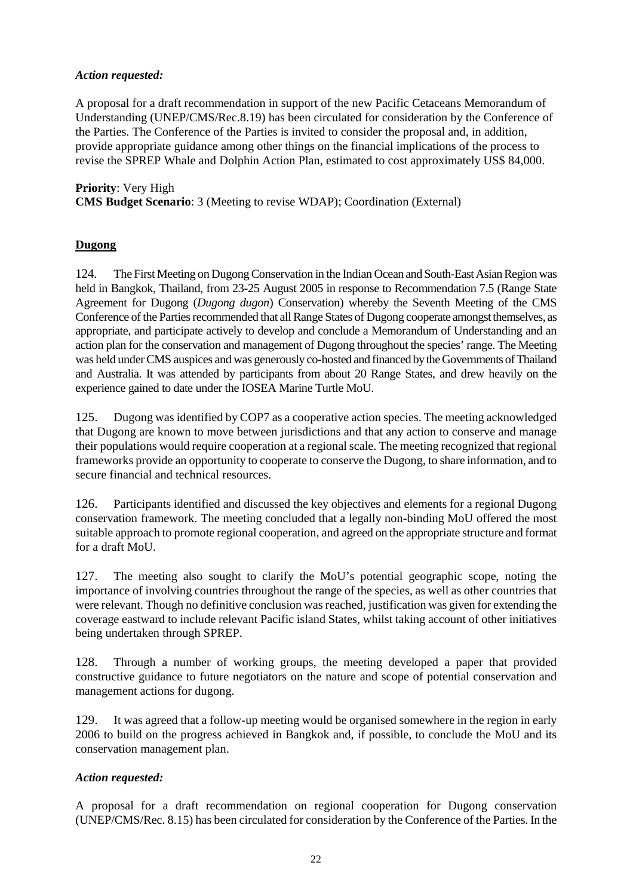### *Action requested:*

A proposal for a draft recommendation in support of the new Pacific Cetaceans Memorandum of Understanding (UNEP/CMS/Rec.8.19) has been circulated for consideration by the Conference of the Parties. The Conference of the Parties is invited to consider the proposal and, in addition, provide appropriate guidance among other things on the financial implications of the process to revise the SPREP Whale and Dolphin Action Plan, estimated to cost approximately US\$ 84,000.

**Priority**: Very High **CMS Budget Scenario**: 3 (Meeting to revise WDAP); Coordination (External)

### **Dugong**

124. The First Meeting on Dugong Conservation in the Indian Ocean and South-East Asian Region was held in Bangkok, Thailand, from 23-25 August 2005 in response to Recommendation 7.5 (Range State Agreement for Dugong (*Dugong dugon*) Conservation) whereby the Seventh Meeting of the CMS Conference of the Parties recommended that all Range States of Dugong cooperate amongst themselves, as appropriate, and participate actively to develop and conclude a Memorandum of Understanding and an action plan for the conservation and management of Dugong throughout the species' range. The Meeting was held under CMS auspices and was generously co-hosted and financed by the Governments of Thailand and Australia. It was attended by participants from about 20 Range States, and drew heavily on the experience gained to date under the IOSEA Marine Turtle MoU.

125. Dugong was identified by COP7 as a cooperative action species. The meeting acknowledged that Dugong are known to move between jurisdictions and that any action to conserve and manage their populations would require cooperation at a regional scale. The meeting recognized that regional frameworks provide an opportunity to cooperate to conserve the Dugong, to share information, and to secure financial and technical resources.

126. Participants identified and discussed the key objectives and elements for a regional Dugong conservation framework. The meeting concluded that a legally non-binding MoU offered the most suitable approach to promote regional cooperation, and agreed on the appropriate structure and format for a draft MoU.

127. The meeting also sought to clarify the MoU's potential geographic scope, noting the importance of involving countries throughout the range of the species, as well as other countries that were relevant. Though no definitive conclusion was reached, justification was given for extending the coverage eastward to include relevant Pacific island States, whilst taking account of other initiatives being undertaken through SPREP.

128. Through a number of working groups, the meeting developed a paper that provided constructive guidance to future negotiators on the nature and scope of potential conservation and management actions for dugong.

129. It was agreed that a follow-up meeting would be organised somewhere in the region in early 2006 to build on the progress achieved in Bangkok and, if possible, to conclude the MoU and its conservation management plan.

### *Action requested:*

A proposal for a draft recommendation on regional cooperation for Dugong conservation (UNEP/CMS/Rec. 8.15) has been circulated for consideration by the Conference of the Parties. In the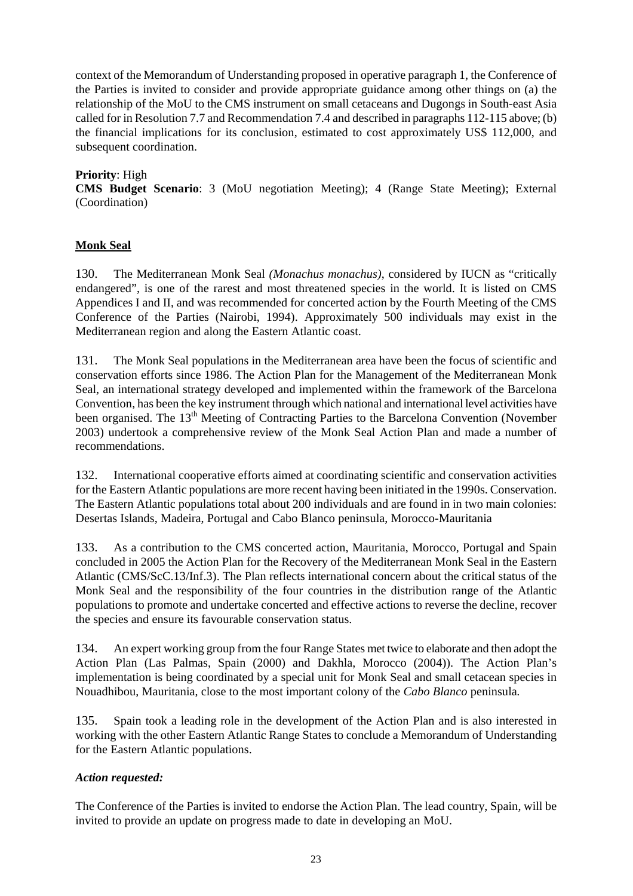context of the Memorandum of Understanding proposed in operative paragraph 1, the Conference of the Parties is invited to consider and provide appropriate guidance among other things on (a) the relationship of the MoU to the CMS instrument on small cetaceans and Dugongs in South-east Asia called for in Resolution 7.7 and Recommendation 7.4 and described in paragraphs 112-115 above; (b) the financial implications for its conclusion, estimated to cost approximately US\$ 112,000, and subsequent coordination.

### **Priority**: High

**CMS Budget Scenario**: 3 (MoU negotiation Meeting); 4 (Range State Meeting); External (Coordination)

### **Monk Seal**

130. The Mediterranean Monk Seal *(Monachus monachus)*, considered by IUCN as "critically endangered", is one of the rarest and most threatened species in the world. It is listed on CMS Appendices I and II, and was recommended for concerted action by the Fourth Meeting of the CMS Conference of the Parties (Nairobi, 1994). Approximately 500 individuals may exist in the Mediterranean region and along the Eastern Atlantic coast.

131. The Monk Seal populations in the Mediterranean area have been the focus of scientific and conservation efforts since 1986. The Action Plan for the Management of the Mediterranean Monk Seal, an international strategy developed and implemented within the framework of the Barcelona Convention, has been the key instrument through which national and international level activities have been organised. The 13<sup>th</sup> Meeting of Contracting Parties to the Barcelona Convention (November 2003) undertook a comprehensive review of the Monk Seal Action Plan and made a number of recommendations.

132. International cooperative efforts aimed at coordinating scientific and conservation activities for the Eastern Atlantic populations are more recent having been initiated in the 1990s. Conservation. The Eastern Atlantic populations total about 200 individuals and are found in in two main colonies: Desertas Islands, Madeira, Portugal and Cabo Blanco peninsula, Morocco-Mauritania

133. As a contribution to the CMS concerted action, Mauritania, Morocco, Portugal and Spain concluded in 2005 the Action Plan for the Recovery of the Mediterranean Monk Seal in the Eastern Atlantic (CMS/ScC.13/Inf.3). The Plan reflects international concern about the critical status of the Monk Seal and the responsibility of the four countries in the distribution range of the Atlantic populations to promote and undertake concerted and effective actions to reverse the decline, recover the species and ensure its favourable conservation status.

134. An expert working group from the four Range States met twice to elaborate and then adopt the Action Plan (Las Palmas, Spain (2000) and Dakhla, Morocco (2004)). The Action Plan's implementation is being coordinated by a special unit for Monk Seal and small cetacean species in Nouadhibou, Mauritania, close to the most important colony of the *Cabo Blanco* peninsula*.*

135. Spain took a leading role in the development of the Action Plan and is also interested in working with the other Eastern Atlantic Range States to conclude a Memorandum of Understanding for the Eastern Atlantic populations.

### *Action requested:*

The Conference of the Parties is invited to endorse the Action Plan. The lead country, Spain, will be invited to provide an update on progress made to date in developing an MoU.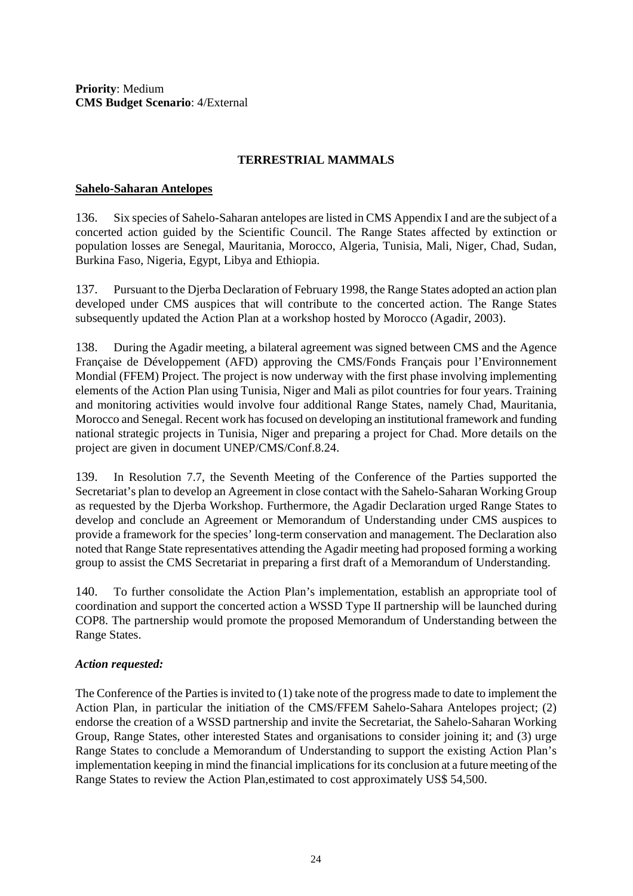**Priority**: Medium **CMS Budget Scenario**: 4/External

### **TERRESTRIAL MAMMALS**

#### **Sahelo-Saharan Antelopes**

136. Six species of Sahelo-Saharan antelopes are listed in CMS Appendix I and are the subject of a concerted action guided by the Scientific Council. The Range States affected by extinction or population losses are Senegal, Mauritania, Morocco, Algeria, Tunisia, Mali, Niger, Chad, Sudan, Burkina Faso, Nigeria, Egypt, Libya and Ethiopia.

137. Pursuant to the Djerba Declaration of February 1998, the Range States adopted an action plan developed under CMS auspices that will contribute to the concerted action. The Range States subsequently updated the Action Plan at a workshop hosted by Morocco (Agadir, 2003).

138. During the Agadir meeting, a bilateral agreement was signed between CMS and the Agence Française de Développement (AFD) approving the CMS/Fonds Français pour l'Environnement Mondial (FFEM) Project. The project is now underway with the first phase involving implementing elements of the Action Plan using Tunisia, Niger and Mali as pilot countries for four years. Training and monitoring activities would involve four additional Range States, namely Chad, Mauritania, Morocco and Senegal. Recent work has focused on developing an institutional framework and funding national strategic projects in Tunisia, Niger and preparing a project for Chad. More details on the project are given in document UNEP/CMS/Conf.8.24.

139. In Resolution 7.7, the Seventh Meeting of the Conference of the Parties supported the Secretariat's plan to develop an Agreement in close contact with the Sahelo-Saharan Working Group as requested by the Djerba Workshop. Furthermore, the Agadir Declaration urged Range States to develop and conclude an Agreement or Memorandum of Understanding under CMS auspices to provide a framework for the species' long-term conservation and management. The Declaration also noted that Range State representatives attending the Agadir meeting had proposed forming a working group to assist the CMS Secretariat in preparing a first draft of a Memorandum of Understanding.

140. To further consolidate the Action Plan's implementation, establish an appropriate tool of coordination and support the concerted action a WSSD Type II partnership will be launched during COP8. The partnership would promote the proposed Memorandum of Understanding between the Range States.

### *Action requested:*

The Conference of the Parties is invited to (1) take note of the progress made to date to implement the Action Plan, in particular the initiation of the CMS/FFEM Sahelo-Sahara Antelopes project; (2) endorse the creation of a WSSD partnership and invite the Secretariat, the Sahelo-Saharan Working Group, Range States, other interested States and organisations to consider joining it; and (3) urge Range States to conclude a Memorandum of Understanding to support the existing Action Plan's implementation keeping in mind the financial implications for its conclusion at a future meeting of the Range States to review the Action Plan,estimated to cost approximately US\$ 54,500.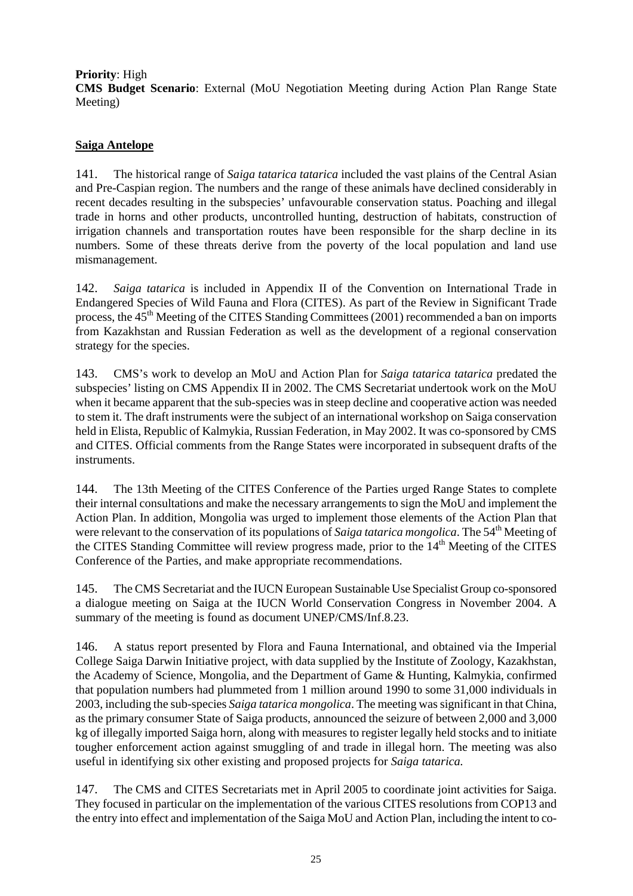**Priority**: High **CMS Budget Scenario**: External (MoU Negotiation Meeting during Action Plan Range State Meeting)

### **Saiga Antelope**

141. The historical range of *Saiga tatarica tatarica* included the vast plains of the Central Asian and Pre-Caspian region. The numbers and the range of these animals have declined considerably in recent decades resulting in the subspecies' unfavourable conservation status. Poaching and illegal trade in horns and other products, uncontrolled hunting, destruction of habitats, construction of irrigation channels and transportation routes have been responsible for the sharp decline in its numbers. Some of these threats derive from the poverty of the local population and land use mismanagement.

142. *Saiga tatarica* is included in Appendix II of the Convention on International Trade in Endangered Species of Wild Fauna and Flora (CITES). As part of the Review in Significant Trade process, the  $45<sup>th</sup>$  Meeting of the CITES Standing Committees (2001) recommended a ban on imports from Kazakhstan and Russian Federation as well as the development of a regional conservation strategy for the species.

143. CMS's work to develop an MoU and Action Plan for *Saiga tatarica tatarica* predated the subspecies' listing on CMS Appendix II in 2002. The CMS Secretariat undertook work on the MoU when it became apparent that the sub-species was in steep decline and cooperative action was needed to stem it. The draft instruments were the subject of an international workshop on Saiga conservation held in Elista, Republic of Kalmykia, Russian Federation, in May 2002. It was co-sponsored by CMS and CITES. Official comments from the Range States were incorporated in subsequent drafts of the instruments.

144. The 13th Meeting of the CITES Conference of the Parties urged Range States to complete their internal consultations and make the necessary arrangements to sign the MoU and implement the Action Plan. In addition, Mongolia was urged to implement those elements of the Action Plan that were relevant to the conservation of its populations of *Saiga tatarica mongolica*. The 54<sup>th</sup> Meeting of the CITES Standing Committee will review progress made, prior to the 14<sup>th</sup> Meeting of the CITES Conference of the Parties, and make appropriate recommendations.

145. The CMS Secretariat and the IUCN European Sustainable Use Specialist Group co-sponsored a dialogue meeting on Saiga at the IUCN World Conservation Congress in November 2004. A summary of the meeting is found as document UNEP/CMS/Inf.8.23.

146. A status report presented by Flora and Fauna International, and obtained via the Imperial College Saiga Darwin Initiative project, with data supplied by the Institute of Zoology, Kazakhstan, the Academy of Science, Mongolia, and the Department of Game & Hunting, Kalmykia, confirmed that population numbers had plummeted from 1 million around 1990 to some 31,000 individuals in 2003, including the sub-species *Saiga tatarica mongolica*. The meeting was significant in that China, as the primary consumer State of Saiga products, announced the seizure of between 2,000 and 3,000 kg of illegally imported Saiga horn, along with measures to register legally held stocks and to initiate tougher enforcement action against smuggling of and trade in illegal horn. The meeting was also useful in identifying six other existing and proposed projects for *Saiga tatarica.*

147. The CMS and CITES Secretariats met in April 2005 to coordinate joint activities for Saiga. They focused in particular on the implementation of the various CITES resolutions from COP13 and the entry into effect and implementation of the Saiga MoU and Action Plan, including the intent to co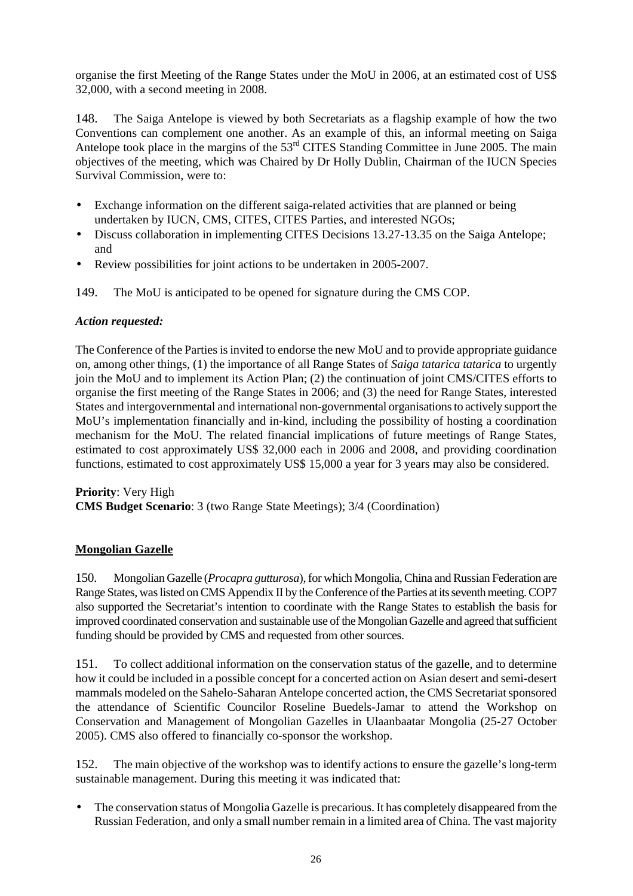organise the first Meeting of the Range States under the MoU in 2006, at an estimated cost of US\$ 32,000, with a second meeting in 2008.

148. The Saiga Antelope is viewed by both Secretariats as a flagship example of how the two Conventions can complement one another. As an example of this, an informal meeting on Saiga Antelope took place in the margins of the 53<sup>rd</sup> CITES Standing Committee in June 2005. The main objectives of the meeting, which was Chaired by Dr Holly Dublin, Chairman of the IUCN Species Survival Commission, were to:

- Exchange information on the different saiga-related activities that are planned or being undertaken by IUCN, CMS, CITES, CITES Parties, and interested NGOs;
- Discuss collaboration in implementing CITES Decisions 13.27-13.35 on the Saiga Antelope; and
- Review possibilities for joint actions to be undertaken in 2005-2007.
- 149. The MoU is anticipated to be opened for signature during the CMS COP.

### *Action requested:*

The Conference of the Parties is invited to endorse the new MoU and to provide appropriate guidance on, among other things, (1) the importance of all Range States of *Saiga tatarica tatarica* to urgently join the MoU and to implement its Action Plan; (2) the continuation of joint CMS/CITES efforts to organise the first meeting of the Range States in 2006; and (3) the need for Range States, interested States and intergovernmental and international non-governmental organisations to actively support the MoU's implementation financially and in-kind, including the possibility of hosting a coordination mechanism for the MoU. The related financial implications of future meetings of Range States, estimated to cost approximately US\$ 32,000 each in 2006 and 2008, and providing coordination functions, estimated to cost approximately US\$ 15,000 a year for 3 years may also be considered.

**Priority**: Very High **CMS Budget Scenario**: 3 (two Range State Meetings); 3/4 (Coordination)

### **Mongolian Gazelle**

150. Mongolian Gazelle (*Procapra gutturosa*), for which Mongolia, China and Russian Federation are Range States, was listed on CMS Appendix II by the Conference of the Parties at its seventh meeting. COP7 also supported the Secretariat's intention to coordinate with the Range States to establish the basis for improved coordinated conservation and sustainable use of the Mongolian Gazelle and agreed that sufficient funding should be provided by CMS and requested from other sources.

151. To collect additional information on the conservation status of the gazelle, and to determine how it could be included in a possible concept for a concerted action on Asian desert and semi-desert mammals modeled on the Sahelo-Saharan Antelope concerted action, the CMS Secretariat sponsored the attendance of Scientific Councilor Roseline Buedels-Jamar to attend the Workshop on Conservation and Management of Mongolian Gazelles in Ulaanbaatar Mongolia (25-27 October 2005). CMS also offered to financially co-sponsor the workshop.

152. The main objective of the workshop was to identify actions to ensure the gazelle's long-term sustainable management. During this meeting it was indicated that:

• The conservation status of Mongolia Gazelle is precarious. It has completely disappeared from the Russian Federation, and only a small number remain in a limited area of China. The vast majority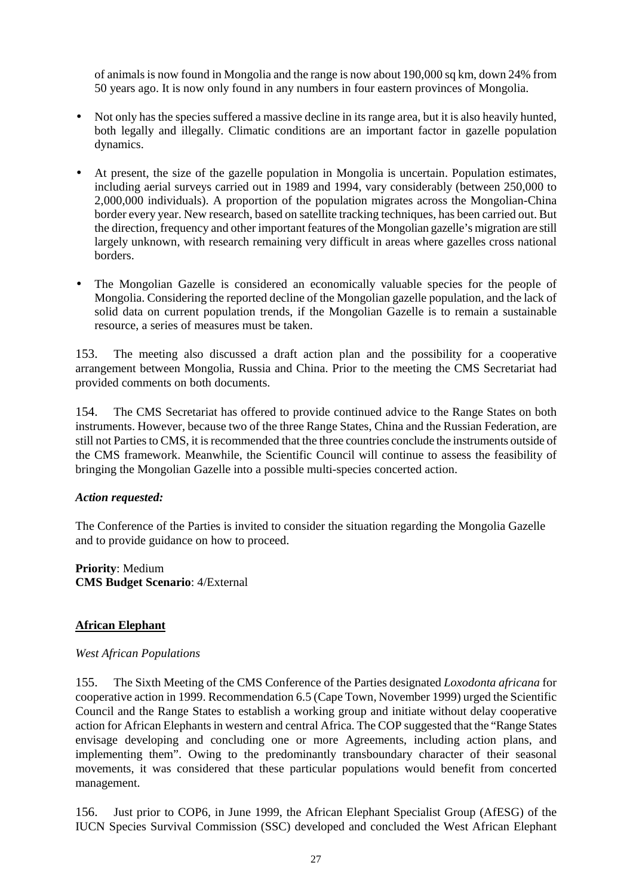of animals is now found in Mongolia and the range is now about 190,000 sq km, down 24% from 50 years ago. It is now only found in any numbers in four eastern provinces of Mongolia.

- Not only has the species suffered a massive decline in its range area, but it is also heavily hunted, both legally and illegally. Climatic conditions are an important factor in gazelle population dynamics.
- At present, the size of the gazelle population in Mongolia is uncertain. Population estimates, including aerial surveys carried out in 1989 and 1994, vary considerably (between 250,000 to 2,000,000 individuals). A proportion of the population migrates across the Mongolian-China border every year. New research, based on satellite tracking techniques, has been carried out. But the direction, frequency and other important features of the Mongolian gazelle's migration are still largely unknown, with research remaining very difficult in areas where gazelles cross national borders.
- The Mongolian Gazelle is considered an economically valuable species for the people of Mongolia. Considering the reported decline of the Mongolian gazelle population, and the lack of solid data on current population trends, if the Mongolian Gazelle is to remain a sustainable resource, a series of measures must be taken.

153. The meeting also discussed a draft action plan and the possibility for a cooperative arrangement between Mongolia, Russia and China. Prior to the meeting the CMS Secretariat had provided comments on both documents.

154. The CMS Secretariat has offered to provide continued advice to the Range States on both instruments. However, because two of the three Range States, China and the Russian Federation, are still not Parties to CMS, it is recommended that the three countries conclude the instruments outside of the CMS framework. Meanwhile, the Scientific Council will continue to assess the feasibility of bringing the Mongolian Gazelle into a possible multi-species concerted action.

### *Action requested:*

The Conference of the Parties is invited to consider the situation regarding the Mongolia Gazelle and to provide guidance on how to proceed.

**Priority**: Medium **CMS Budget Scenario**: 4/External

### **African Elephant**

#### *West African Populations*

155. The Sixth Meeting of the CMS Conference of the Parties designated *Loxodonta africana* for cooperative action in 1999. Recommendation 6.5 (Cape Town, November 1999) urged the Scientific Council and the Range States to establish a working group and initiate without delay cooperative action for African Elephants in western and central Africa. The COP suggested that the "Range States envisage developing and concluding one or more Agreements, including action plans, and implementing them". Owing to the predominantly transboundary character of their seasonal movements, it was considered that these particular populations would benefit from concerted management.

156. Just prior to COP6, in June 1999, the African Elephant Specialist Group (AfESG) of the IUCN Species Survival Commission (SSC) developed and concluded the West African Elephant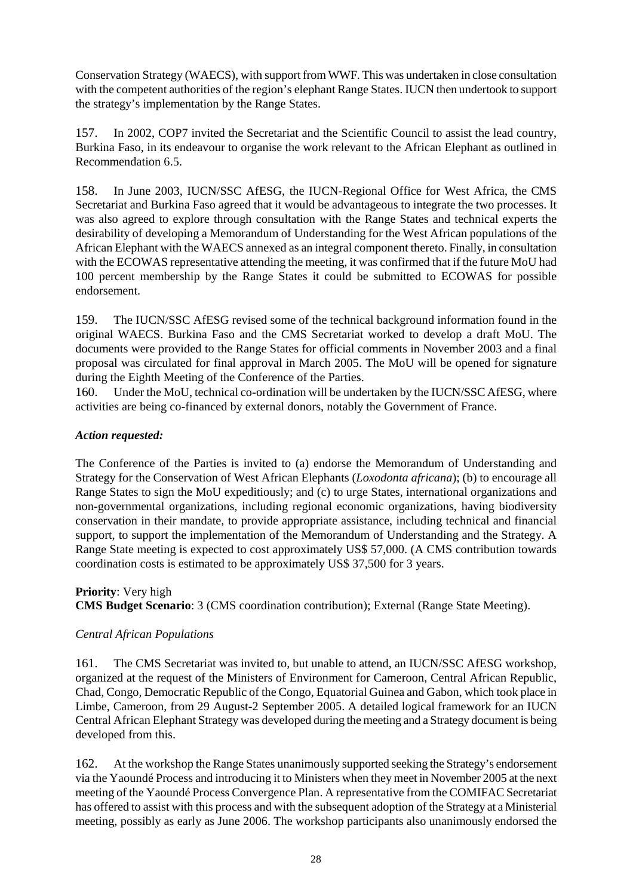Conservation Strategy (WAECS), with support from WWF. This was undertaken in close consultation with the competent authorities of the region's elephant Range States. IUCN then undertook to support the strategy's implementation by the Range States.

157. In 2002, COP7 invited the Secretariat and the Scientific Council to assist the lead country, Burkina Faso, in its endeavour to organise the work relevant to the African Elephant as outlined in Recommendation 6.5.

158. In June 2003, IUCN/SSC AfESG, the IUCN-Regional Office for West Africa, the CMS Secretariat and Burkina Faso agreed that it would be advantageous to integrate the two processes. It was also agreed to explore through consultation with the Range States and technical experts the desirability of developing a Memorandum of Understanding for the West African populations of the African Elephant with the WAECS annexed as an integral component thereto. Finally, in consultation with the ECOWAS representative attending the meeting, it was confirmed that if the future MoU had 100 percent membership by the Range States it could be submitted to ECOWAS for possible endorsement.

159. The IUCN/SSC AfESG revised some of the technical background information found in the original WAECS. Burkina Faso and the CMS Secretariat worked to develop a draft MoU. The documents were provided to the Range States for official comments in November 2003 and a final proposal was circulated for final approval in March 2005. The MoU will be opened for signature during the Eighth Meeting of the Conference of the Parties.

160. Under the MoU, technical co-ordination will be undertaken by the IUCN/SSC AfESG, where activities are being co-financed by external donors, notably the Government of France.

### *Action requested:*

The Conference of the Parties is invited to (a) endorse the Memorandum of Understanding and Strategy for the Conservation of West African Elephants (*Loxodonta africana*); (b) to encourage all Range States to sign the MoU expeditiously; and (c) to urge States, international organizations and non-governmental organizations, including regional economic organizations, having biodiversity conservation in their mandate, to provide appropriate assistance, including technical and financial support, to support the implementation of the Memorandum of Understanding and the Strategy. A Range State meeting is expected to cost approximately US\$ 57,000. (A CMS contribution towards coordination costs is estimated to be approximately US\$ 37,500 for 3 years.

### **Priority**: Very high

**CMS Budget Scenario**: 3 (CMS coordination contribution); External (Range State Meeting).

### *Central African Populations*

161. The CMS Secretariat was invited to, but unable to attend, an IUCN/SSC AfESG workshop, organized at the request of the Ministers of Environment for Cameroon, Central African Republic, Chad, Congo, Democratic Republic of the Congo, Equatorial Guinea and Gabon, which took place in Limbe, Cameroon, from 29 August-2 September 2005. A detailed logical framework for an IUCN Central African Elephant Strategy was developed during the meeting and a Strategy document is being developed from this.

162. At the workshop the Range States unanimously supported seeking the Strategy's endorsement via the Yaoundé Process and introducing it to Ministers when they meet in November 2005 at the next meeting of the Yaoundé Process Convergence Plan. A representative from the COMIFAC Secretariat has offered to assist with this process and with the subsequent adoption of the Strategy at a Ministerial meeting, possibly as early as June 2006. The workshop participants also unanimously endorsed the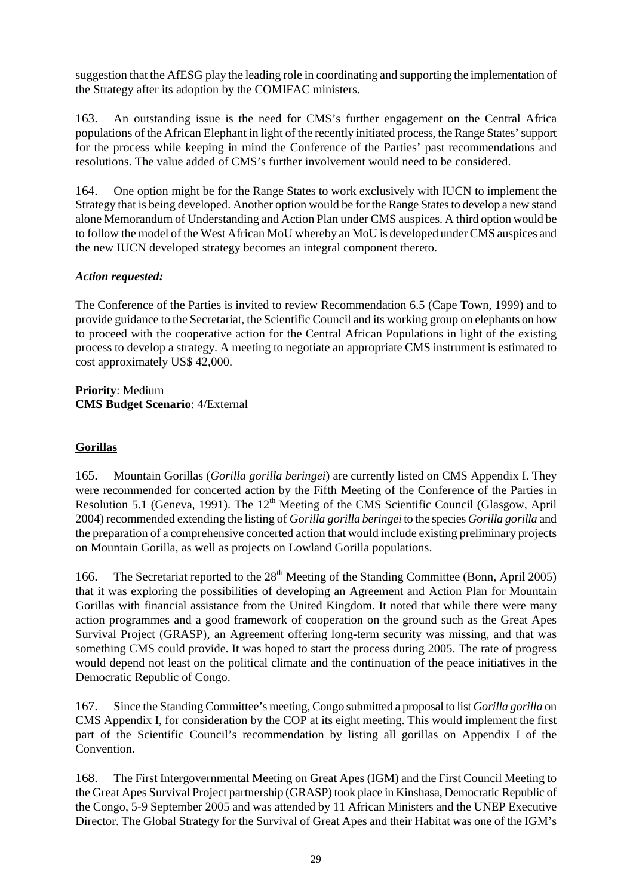suggestion that the AfESG play the leading role in coordinating and supporting the implementation of the Strategy after its adoption by the COMIFAC ministers.

163. An outstanding issue is the need for CMS's further engagement on the Central Africa populations of the African Elephant in light of the recently initiated process, the Range States' support for the process while keeping in mind the Conference of the Parties' past recommendations and resolutions. The value added of CMS's further involvement would need to be considered.

164. One option might be for the Range States to work exclusively with IUCN to implement the Strategy that is being developed. Another option would be for the Range States to develop a new stand alone Memorandum of Understanding and Action Plan under CMS auspices. A third option would be to follow the model of the West African MoU whereby an MoU is developed under CMS auspices and the new IUCN developed strategy becomes an integral component thereto.

### *Action requested:*

The Conference of the Parties is invited to review Recommendation 6.5 (Cape Town, 1999) and to provide guidance to the Secretariat, the Scientific Council and its working group on elephants on how to proceed with the cooperative action for the Central African Populations in light of the existing process to develop a strategy. A meeting to negotiate an appropriate CMS instrument is estimated to cost approximately US\$ 42,000.

**Priority**: Medium **CMS Budget Scenario**: 4/External

### **Gorillas**

165. Mountain Gorillas (*Gorilla gorilla beringei*) are currently listed on CMS Appendix I. They were recommended for concerted action by the Fifth Meeting of the Conference of the Parties in Resolution 5.1 (Geneva, 1991). The  $12<sup>th</sup>$  Meeting of the CMS Scientific Council (Glasgow, April 2004) recommended extending the listing of *Gorilla gorilla beringei* to the species *Gorilla gorilla* and the preparation of a comprehensive concerted action that would include existing preliminary projects on Mountain Gorilla, as well as projects on Lowland Gorilla populations.

166. The Secretariat reported to the 28<sup>th</sup> Meeting of the Standing Committee (Bonn, April 2005) that it was exploring the possibilities of developing an Agreement and Action Plan for Mountain Gorillas with financial assistance from the United Kingdom. It noted that while there were many action programmes and a good framework of cooperation on the ground such as the Great Apes Survival Project (GRASP), an Agreement offering long-term security was missing, and that was something CMS could provide. It was hoped to start the process during 2005. The rate of progress would depend not least on the political climate and the continuation of the peace initiatives in the Democratic Republic of Congo.

167. Since the Standing Committee's meeting, Congo submitted a proposal to list *Gorilla gorilla* on CMS Appendix I, for consideration by the COP at its eight meeting. This would implement the first part of the Scientific Council's recommendation by listing all gorillas on Appendix I of the Convention.

168. The First Intergovernmental Meeting on Great Apes (IGM) and the First Council Meeting to the Great Apes Survival Project partnership (GRASP) took place in Kinshasa, Democratic Republic of the Congo, 5-9 September 2005 and was attended by 11 African Ministers and the UNEP Executive Director. The Global Strategy for the Survival of Great Apes and their Habitat was one of the IGM's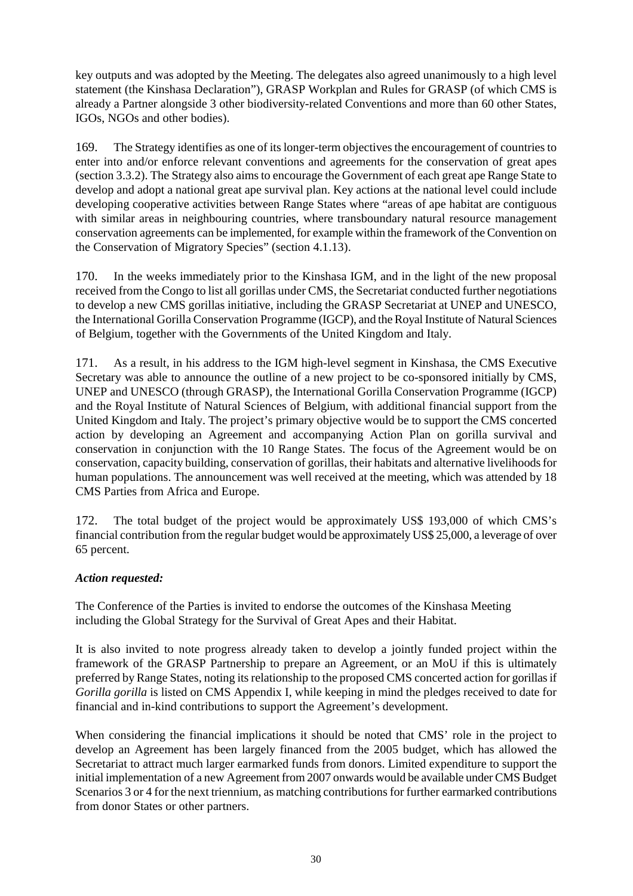key outputs and was adopted by the Meeting. The delegates also agreed unanimously to a high level statement (the Kinshasa Declaration"), GRASP Workplan and Rules for GRASP (of which CMS is already a Partner alongside 3 other biodiversity-related Conventions and more than 60 other States, IGOs, NGOs and other bodies).

169. The Strategy identifies as one of its longer-term objectives the encouragement of countries to enter into and/or enforce relevant conventions and agreements for the conservation of great apes (section 3.3.2). The Strategy also aims to encourage the Government of each great ape Range State to develop and adopt a national great ape survival plan. Key actions at the national level could include developing cooperative activities between Range States where "areas of ape habitat are contiguous with similar areas in neighbouring countries, where transboundary natural resource management conservation agreements can be implemented, for example within the framework of the Convention on the Conservation of Migratory Species" (section 4.1.13).

170. In the weeks immediately prior to the Kinshasa IGM, and in the light of the new proposal received from the Congo to list all gorillas under CMS, the Secretariat conducted further negotiations to develop a new CMS gorillas initiative, including the GRASP Secretariat at UNEP and UNESCO, the International Gorilla Conservation Programme (IGCP), and the Royal Institute of Natural Sciences of Belgium, together with the Governments of the United Kingdom and Italy.

171. As a result, in his address to the IGM high-level segment in Kinshasa, the CMS Executive Secretary was able to announce the outline of a new project to be co-sponsored initially by CMS, UNEP and UNESCO (through GRASP), the International Gorilla Conservation Programme (IGCP) and the Royal Institute of Natural Sciences of Belgium, with additional financial support from the United Kingdom and Italy. The project's primary objective would be to support the CMS concerted action by developing an Agreement and accompanying Action Plan on gorilla survival and conservation in conjunction with the 10 Range States. The focus of the Agreement would be on conservation, capacity building, conservation of gorillas, their habitats and alternative livelihoods for human populations. The announcement was well received at the meeting, which was attended by 18 CMS Parties from Africa and Europe.

172. The total budget of the project would be approximately US\$ 193,000 of which CMS's financial contribution from the regular budget would be approximately US\$ 25,000, a leverage of over 65 percent.

## *Action requested:*

The Conference of the Parties is invited to endorse the outcomes of the Kinshasa Meeting including the Global Strategy for the Survival of Great Apes and their Habitat.

It is also invited to note progress already taken to develop a jointly funded project within the framework of the GRASP Partnership to prepare an Agreement, or an MoU if this is ultimately preferred by Range States, noting its relationship to the proposed CMS concerted action for gorillas if *Gorilla gorilla* is listed on CMS Appendix I, while keeping in mind the pledges received to date for financial and in-kind contributions to support the Agreement's development.

When considering the financial implications it should be noted that CMS' role in the project to develop an Agreement has been largely financed from the 2005 budget, which has allowed the Secretariat to attract much larger earmarked funds from donors. Limited expenditure to support the initial implementation of a new Agreement from 2007 onwards would be available under CMS Budget Scenarios 3 or 4 for the next triennium, as matching contributions for further earmarked contributions from donor States or other partners.